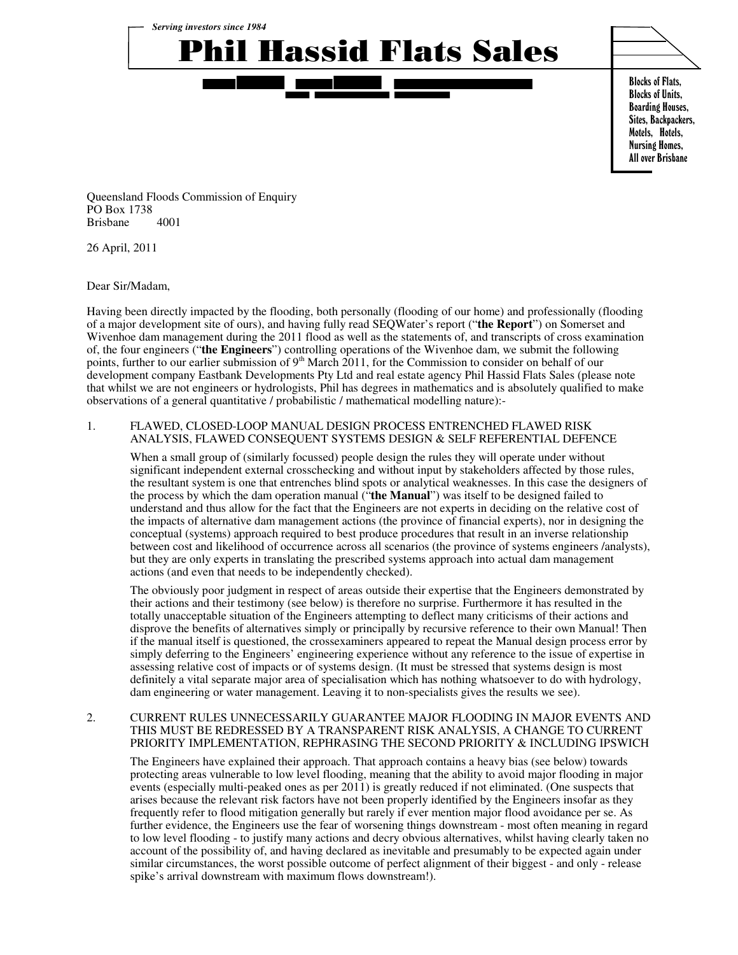

Blocks of Flats, Blocks of Units, Boarding Houses, Sites, Backpackers, Motels, Hotels, Nursing Homes, All over Brisbane

Queensland Floods Commission of Enquiry PO Box 1738 Brisbane 4001

26 April, 2011

Dear Sir/Madam,

Having been directly impacted by the flooding, both personally (flooding of our home) and professionally (flooding of a major development site of ours), and having fully read SEQWater's report ("**the Report**") on Somerset and Wivenhoe dam management during the 2011 flood as well as the statements of, and transcripts of cross examination of, the four engineers ("**the Engineers**") controlling operations of the Wivenhoe dam, we submit the following points, further to our earlier submission of 9<sup>th</sup> March 2011, for the Commission to consider on behalf of our development company Eastbank Developments Pty Ltd and real estate agency Phil Hassid Flats Sales (please note that whilst we are not engineers or hydrologists, Phil has degrees in mathematics and is absolutely qualified to make observations of a general quantitative / probabilistic / mathematical modelling nature):-

## 1. FLAWED, CLOSED-LOOP MANUAL DESIGN PROCESS ENTRENCHED FLAWED RISK ANALYSIS, FLAWED CONSEQUENT SYSTEMS DESIGN & SELF REFERENTIAL DEFENCE

When a small group of (similarly focussed) people design the rules they will operate under without significant independent external crosschecking and without input by stakeholders affected by those rules, the resultant system is one that entrenches blind spots or analytical weaknesses. In this case the designers of the process by which the dam operation manual ("**the Manual**") was itself to be designed failed to understand and thus allow for the fact that the Engineers are not experts in deciding on the relative cost of the impacts of alternative dam management actions (the province of financial experts), nor in designing the conceptual (systems) approach required to best produce procedures that result in an inverse relationship between cost and likelihood of occurrence across all scenarios (the province of systems engineers /analysts), but they are only experts in translating the prescribed systems approach into actual dam management actions (and even that needs to be independently checked).

The obviously poor judgment in respect of areas outside their expertise that the Engineers demonstrated by their actions and their testimony (see below) is therefore no surprise. Furthermore it has resulted in the totally unacceptable situation of the Engineers attempting to deflect many criticisms of their actions and disprove the benefits of alternatives simply or principally by recursive reference to their own Manual! Then if the manual itself is questioned, the crossexaminers appeared to repeat the Manual design process error by simply deferring to the Engineers' engineering experience without any reference to the issue of expertise in assessing relative cost of impacts or of systems design. (It must be stressed that systems design is most definitely a vital separate major area of specialisation which has nothing whatsoever to do with hydrology, dam engineering or water management. Leaving it to non-specialists gives the results we see).

### 2. CURRENT RULES UNNECESSARILY GUARANTEE MAJOR FLOODING IN MAJOR EVENTS AND THIS MUST BE REDRESSED BY A TRANSPARENT RISK ANALYSIS, A CHANGE TO CURRENT PRIORITY IMPLEMENTATION, REPHRASING THE SECOND PRIORITY & INCLUDING IPSWICH

The Engineers have explained their approach. That approach contains a heavy bias (see below) towards protecting areas vulnerable to low level flooding, meaning that the ability to avoid major flooding in major events (especially multi-peaked ones as per 2011) is greatly reduced if not eliminated. (One suspects that arises because the relevant risk factors have not been properly identified by the Engineers insofar as they frequently refer to flood mitigation generally but rarely if ever mention major flood avoidance per se. As further evidence, the Engineers use the fear of worsening things downstream - most often meaning in regard to low level flooding - to justify many actions and decry obvious alternatives, whilst having clearly taken no account of the possibility of, and having declared as inevitable and presumably to be expected again under similar circumstances, the worst possible outcome of perfect alignment of their biggest - and only - release spike's arrival downstream with maximum flows downstream!).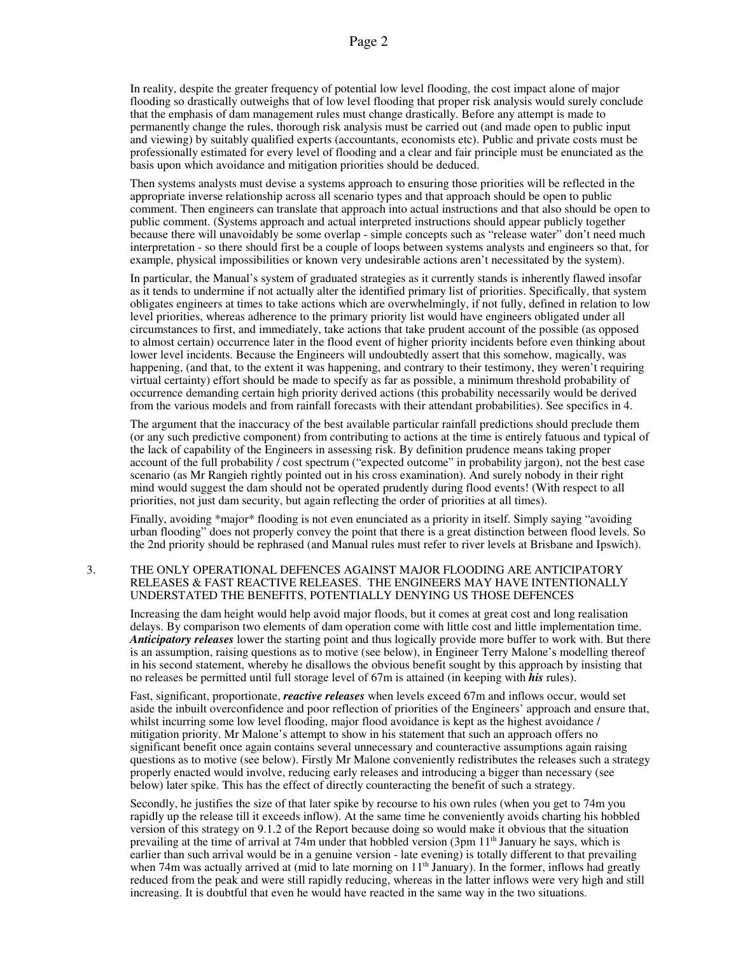In reality, despite the greater frequency of potential low level flooding, the cost impact alone of major flooding so drastically outweighs that of low level flooding that proper risk analysis would surely conclude that the emphasis of dam management rules must change drastically. Before any attempt is made to permanently change the rules, thorough risk analysis must be carried out (and made open to public input and viewing) by suitably qualified experts (accountants, economists etc). Public and private costs must be professionally estimated for every level of flooding and a clear and fair principle must be enunciated as the basis upon which avoidance and mitigation priorities should be deduced.

Then systems analysts must devise a systems approach to ensuring those priorities will be reflected in the appropriate inverse relationship across all scenario types and that approach should be open to public comment. Then engineers can translate that approach into actual instructions and that also should be open to public comment. (Systems approach and actual interpreted instructions should appear publicly together because there will unavoidably be some overlap - simple concepts such as "release water" don't need much interpretation - so there should first be a couple of loops between systems analysts and engineers so that, for example, physical impossibilities or known very undesirable actions aren't necessitated by the system).

In particular, the Manual's system of graduated strategies as it currently stands is inherently flawed insofar as it tends to undermine if not actually alter the identified primary list of priorities. Specifically, that system obligates engineers at times to take actions which are overwhelmingly, if not fully, defined in relation to low level priorities, whereas adherence to the primary priority list would have engineers obligated under all circumstances to first, and immediately, take actions that take prudent account of the possible (as opposed to almost certain) occurrence later in the flood event of higher priority incidents before even thinking about lower level incidents. Because the Engineers will undoubtedly assert that this somehow, magically, was happening, (and that, to the extent it was happening, and contrary to their testimony, they weren't requiring virtual certainty) effort should be made to specify as far as possible, a minimum threshold probability of occurrence demanding certain high priority derived actions (this probability necessarily would be derived from the various models and from rainfall forecasts with their attendant probabilities). See specifics in 4.

The argument that the inaccuracy of the best available particular rainfall predictions should preclude them (or any such predictive component) from contributing to actions at the time is entirely fatuous and typical of the lack of capability of the Engineers in assessing risk. By definition prudence means taking proper account of the full probability / cost spectrum ("expected outcome" in probability jargon), not the best case scenario (as Mr Rangieh rightly pointed out in his cross examination). And surely nobody in their right mind would suggest the dam should not be operated prudently during flood events! (With respect to all priorities, not just dam security, but again reflecting the order of priorities at all times).

Finally, avoiding \*major\* flooding is not even enunciated as a priority in itself. Simply saying "avoiding urban flooding" does not properly convey the point that there is a great distinction between flood levels. So the 2nd priority should be rephrased (and Manual rules must refer to river levels at Brisbane and Ipswich).

### 3. THE ONLY OPERATIONAL DEFENCES AGAINST MAJOR FLOODING ARE ANTICIPATORY RELEASES & FAST REACTIVE RELEASES. THE ENGINEERS MAY HAVE INTENTIONALLY UNDERSTATED THE BENEFITS, POTENTIALLY DENYING US THOSE DEFENCES

Increasing the dam height would help avoid major floods, but it comes at great cost and long realisation delays. By comparison two elements of dam operation come with little cost and little implementation time. *Anticipatory releases* lower the starting point and thus logically provide more buffer to work with. But there is an assumption, raising questions as to motive (see below), in Engineer Terry Malone's modelling thereof in his second statement, whereby he disallows the obvious benefit sought by this approach by insisting that no releases be permitted until full storage level of 67m is attained (in keeping with *his* rules).

Fast, significant, proportionate, *reactive releases* when levels exceed 67m and inflows occur, would set aside the inbuilt overconfidence and poor reflection of priorities of the Engineers' approach and ensure that, whilst incurring some low level flooding, major flood avoidance is kept as the highest avoidance / mitigation priority. Mr Malone's attempt to show in his statement that such an approach offers no significant benefit once again contains several unnecessary and counteractive assumptions again raising questions as to motive (see below). Firstly Mr Malone conveniently redistributes the releases such a strategy properly enacted would involve, reducing early releases and introducing a bigger than necessary (see below) later spike. This has the effect of directly counteracting the benefit of such a strategy.

Secondly, he justifies the size of that later spike by recourse to his own rules (when you get to 74m you rapidly up the release till it exceeds inflow). At the same time he conveniently avoids charting his hobbled version of this strategy on 9.1.2 of the Report because doing so would make it obvious that the situation prevailing at the time of arrival at 74m under that hobbled version  $(3pm 1<sup>th</sup>$  January he says, which is earlier than such arrival would be in a genuine version - late evening) is totally different to that prevailing when 74m was actually arrived at (mid to late morning on  $11<sup>th</sup>$  January). In the former, inflows had greatly reduced from the peak and were still rapidly reducing, whereas in the latter inflows were very high and still increasing. It is doubtful that even he would have reacted in the same way in the two situations.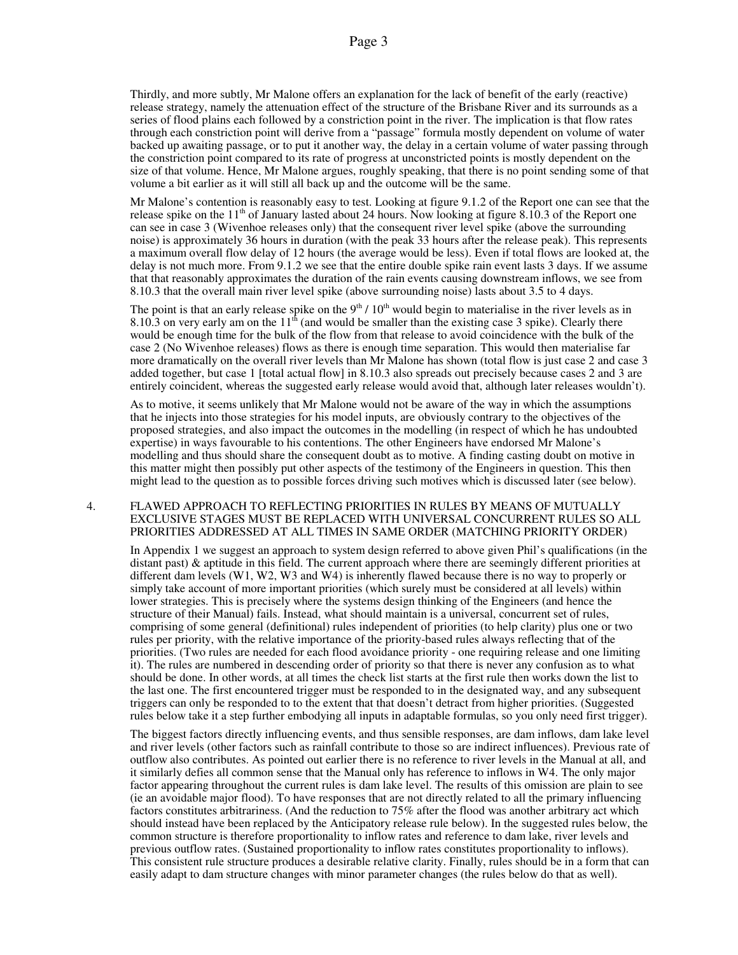Thirdly, and more subtly, Mr Malone offers an explanation for the lack of benefit of the early (reactive) release strategy, namely the attenuation effect of the structure of the Brisbane River and its surrounds as a series of flood plains each followed by a constriction point in the river. The implication is that flow rates through each constriction point will derive from a "passage" formula mostly dependent on volume of water backed up awaiting passage, or to put it another way, the delay in a certain volume of water passing through the constriction point compared to its rate of progress at unconstricted points is mostly dependent on the size of that volume. Hence, Mr Malone argues, roughly speaking, that there is no point sending some of that volume a bit earlier as it will still all back up and the outcome will be the same.

Mr Malone's contention is reasonably easy to test. Looking at figure 9.1.2 of the Report one can see that the release spike on the  $11<sup>th</sup>$  of January lasted about 24 hours. Now looking at figure 8.10.3 of the Report one can see in case 3 (Wivenhoe releases only) that the consequent river level spike (above the surrounding noise) is approximately 36 hours in duration (with the peak 33 hours after the release peak). This represents a maximum overall flow delay of 12 hours (the average would be less). Even if total flows are looked at, the delay is not much more. From 9.1.2 we see that the entire double spike rain event lasts 3 days. If we assume that that reasonably approximates the duration of the rain events causing downstream inflows, we see from 8.10.3 that the overall main river level spike (above surrounding noise) lasts about 3.5 to 4 days.

The point is that an early release spike on the  $9<sup>th</sup> / 10<sup>th</sup>$  would begin to materialise in the river levels as in 8.10.3 on very early am on the  $11<sup>th</sup>$  (and would be smaller than the existing case 3 spike). Clearly there would be enough time for the bulk of the flow from that release to avoid coincidence with the bulk of the case 2 (No Wivenhoe releases) flows as there is enough time separation. This would then materialise far more dramatically on the overall river levels than Mr Malone has shown (total flow is just case 2 and case 3 added together, but case 1 [total actual flow] in 8.10.3 also spreads out precisely because cases 2 and 3 are entirely coincident, whereas the suggested early release would avoid that, although later releases wouldn't).

As to motive, it seems unlikely that Mr Malone would not be aware of the way in which the assumptions that he injects into those strategies for his model inputs, are obviously contrary to the objectives of the proposed strategies, and also impact the outcomes in the modelling (in respect of which he has undoubted expertise) in ways favourable to his contentions. The other Engineers have endorsed Mr Malone's modelling and thus should share the consequent doubt as to motive. A finding casting doubt on motive in this matter might then possibly put other aspects of the testimony of the Engineers in question. This then might lead to the question as to possible forces driving such motives which is discussed later (see below).

### 4. FLAWED APPROACH TO REFLECTING PRIORITIES IN RULES BY MEANS OF MUTUALLY EXCLUSIVE STAGES MUST BE REPLACED WITH UNIVERSAL CONCURRENT RULES SO ALL PRIORITIES ADDRESSED AT ALL TIMES IN SAME ORDER (MATCHING PRIORITY ORDER)

In Appendix 1 we suggest an approach to system design referred to above given Phil's qualifications (in the distant past) & aptitude in this field. The current approach where there are seemingly different priorities at different dam levels (W1, W2, W3 and W4) is inherently flawed because there is no way to properly or simply take account of more important priorities (which surely must be considered at all levels) within lower strategies. This is precisely where the systems design thinking of the Engineers (and hence the structure of their Manual) fails. Instead, what should maintain is a universal, concurrent set of rules, comprising of some general (definitional) rules independent of priorities (to help clarity) plus one or two rules per priority, with the relative importance of the priority-based rules always reflecting that of the priorities. (Two rules are needed for each flood avoidance priority - one requiring release and one limiting it). The rules are numbered in descending order of priority so that there is never any confusion as to what should be done. In other words, at all times the check list starts at the first rule then works down the list to the last one. The first encountered trigger must be responded to in the designated way, and any subsequent triggers can only be responded to to the extent that that doesn't detract from higher priorities. (Suggested rules below take it a step further embodying all inputs in adaptable formulas, so you only need first trigger).

The biggest factors directly influencing events, and thus sensible responses, are dam inflows, dam lake level and river levels (other factors such as rainfall contribute to those so are indirect influences). Previous rate of outflow also contributes. As pointed out earlier there is no reference to river levels in the Manual at all, and it similarly defies all common sense that the Manual only has reference to inflows in W4. The only major factor appearing throughout the current rules is dam lake level. The results of this omission are plain to see (ie an avoidable major flood). To have responses that are not directly related to all the primary influencing factors constitutes arbitrariness. (And the reduction to 75% after the flood was another arbitrary act which should instead have been replaced by the Anticipatory release rule below). In the suggested rules below, the common structure is therefore proportionality to inflow rates and reference to dam lake, river levels and previous outflow rates. (Sustained proportionality to inflow rates constitutes proportionality to inflows). This consistent rule structure produces a desirable relative clarity. Finally, rules should be in a form that can easily adapt to dam structure changes with minor parameter changes (the rules below do that as well).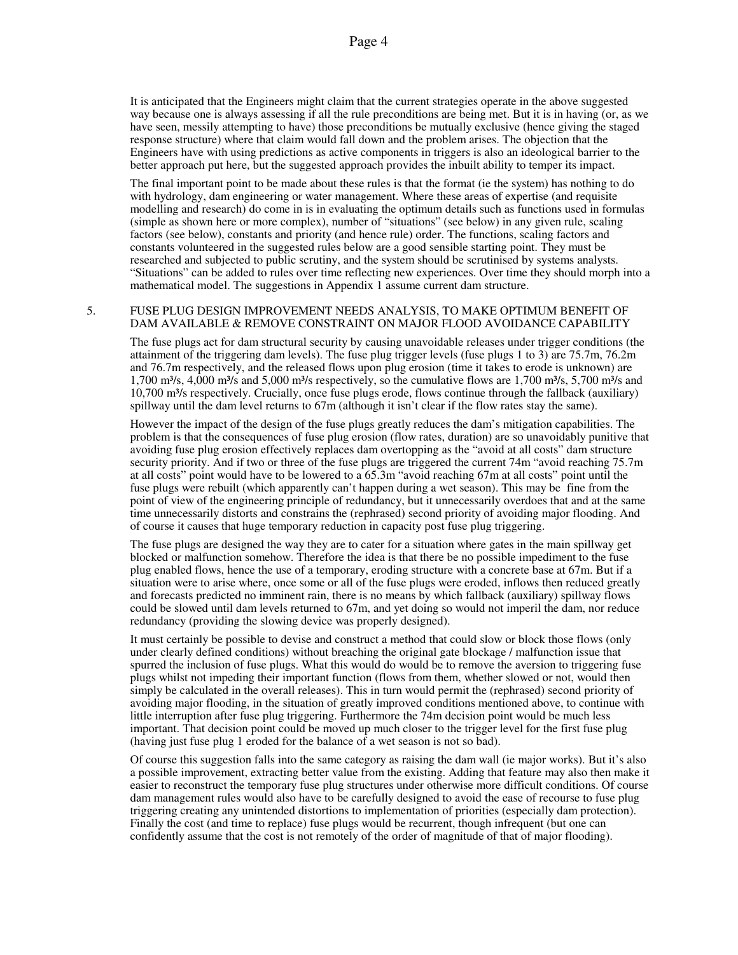It is anticipated that the Engineers might claim that the current strategies operate in the above suggested way because one is always assessing if all the rule preconditions are being met. But it is in having (or, as we have seen, messily attempting to have) those preconditions be mutually exclusive (hence giving the staged response structure) where that claim would fall down and the problem arises. The objection that the Engineers have with using predictions as active components in triggers is also an ideological barrier to the better approach put here, but the suggested approach provides the inbuilt ability to temper its impact.

The final important point to be made about these rules is that the format (ie the system) has nothing to do with hydrology, dam engineering or water management. Where these areas of expertise (and requisite modelling and research) do come in is in evaluating the optimum details such as functions used in formulas (simple as shown here or more complex), number of "situations" (see below) in any given rule, scaling factors (see below), constants and priority (and hence rule) order. The functions, scaling factors and constants volunteered in the suggested rules below are a good sensible starting point. They must be researched and subjected to public scrutiny, and the system should be scrutinised by systems analysts. "Situations" can be added to rules over time reflecting new experiences. Over time they should morph into a mathematical model. The suggestions in Appendix 1 assume current dam structure.

### 5. FUSE PLUG DESIGN IMPROVEMENT NEEDS ANALYSIS, TO MAKE OPTIMUM BENEFIT OF DAM AVAILABLE & REMOVE CONSTRAINT ON MAJOR FLOOD AVOIDANCE CAPABILITY

The fuse plugs act for dam structural security by causing unavoidable releases under trigger conditions (the attainment of the triggering dam levels). The fuse plug trigger levels (fuse plugs 1 to 3) are 75.7m, 76.2m and 76.7m respectively, and the released flows upon plug erosion (time it takes to erode is unknown) are 1,700 m<sup>3</sup>/s, 4,000 m<sup>3</sup>/s and 5,000 m<sup>3</sup>/s respectively, so the cumulative flows are 1,700 m<sup>3</sup>/s, 5,700 m<sup>3</sup>/s and 10,700 m³/s respectively. Crucially, once fuse plugs erode, flows continue through the fallback (auxiliary) spillway until the dam level returns to 67m (although it isn't clear if the flow rates stay the same).

However the impact of the design of the fuse plugs greatly reduces the dam's mitigation capabilities. The problem is that the consequences of fuse plug erosion (flow rates, duration) are so unavoidably punitive that avoiding fuse plug erosion effectively replaces dam overtopping as the "avoid at all costs" dam structure security priority. And if two or three of the fuse plugs are triggered the current 74m "avoid reaching 75.7m at all costs" point would have to be lowered to a 65.3m "avoid reaching 67m at all costs" point until the fuse plugs were rebuilt (which apparently can't happen during a wet season). This may be fine from the point of view of the engineering principle of redundancy, but it unnecessarily overdoes that and at the same time unnecessarily distorts and constrains the (rephrased) second priority of avoiding major flooding. And of course it causes that huge temporary reduction in capacity post fuse plug triggering.

The fuse plugs are designed the way they are to cater for a situation where gates in the main spillway get blocked or malfunction somehow. Therefore the idea is that there be no possible impediment to the fuse plug enabled flows, hence the use of a temporary, eroding structure with a concrete base at 67m. But if a situation were to arise where, once some or all of the fuse plugs were eroded, inflows then reduced greatly and forecasts predicted no imminent rain, there is no means by which fallback (auxiliary) spillway flows could be slowed until dam levels returned to 67m, and yet doing so would not imperil the dam, nor reduce redundancy (providing the slowing device was properly designed).

It must certainly be possible to devise and construct a method that could slow or block those flows (only under clearly defined conditions) without breaching the original gate blockage / malfunction issue that spurred the inclusion of fuse plugs. What this would do would be to remove the aversion to triggering fuse plugs whilst not impeding their important function (flows from them, whether slowed or not, would then simply be calculated in the overall releases). This in turn would permit the (rephrased) second priority of avoiding major flooding, in the situation of greatly improved conditions mentioned above, to continue with little interruption after fuse plug triggering. Furthermore the 74m decision point would be much less important. That decision point could be moved up much closer to the trigger level for the first fuse plug (having just fuse plug 1 eroded for the balance of a wet season is not so bad).

Of course this suggestion falls into the same category as raising the dam wall (ie major works). But it's also a possible improvement, extracting better value from the existing. Adding that feature may also then make it easier to reconstruct the temporary fuse plug structures under otherwise more difficult conditions. Of course dam management rules would also have to be carefully designed to avoid the ease of recourse to fuse plug triggering creating any unintended distortions to implementation of priorities (especially dam protection). Finally the cost (and time to replace) fuse plugs would be recurrent, though infrequent (but one can confidently assume that the cost is not remotely of the order of magnitude of that of major flooding).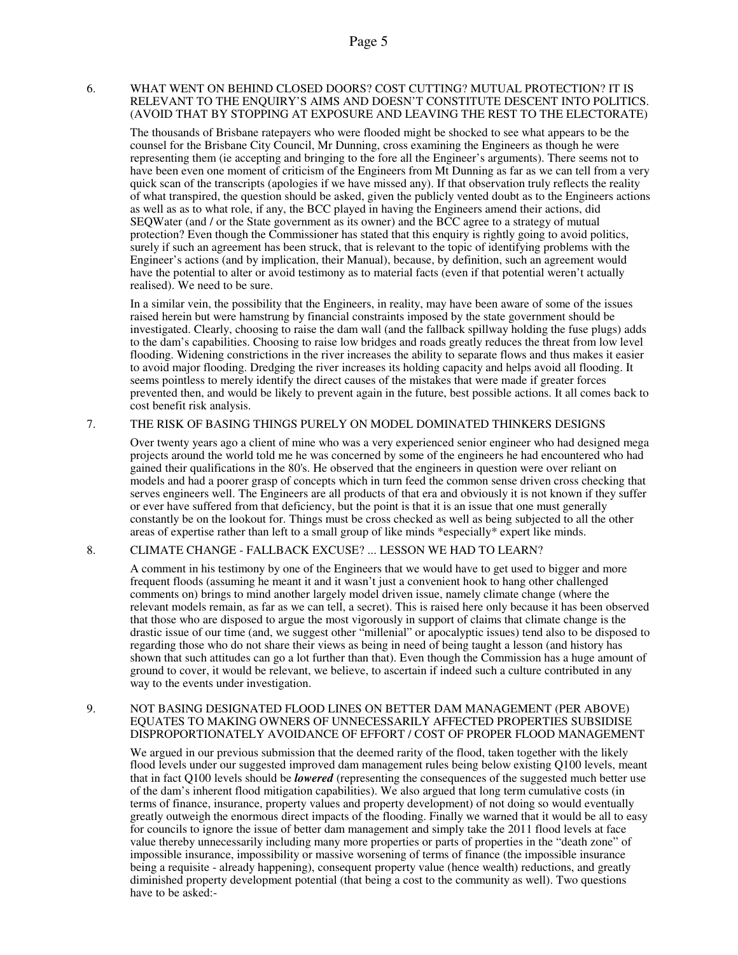## 6. WHAT WENT ON BEHIND CLOSED DOORS? COST CUTTING? MUTUAL PROTECTION? IT IS RELEVANT TO THE ENQUIRY'S AIMS AND DOESN'T CONSTITUTE DESCENT INTO POLITICS. (AVOID THAT BY STOPPING AT EXPOSURE AND LEAVING THE REST TO THE ELECTORATE)

The thousands of Brisbane ratepayers who were flooded might be shocked to see what appears to be the counsel for the Brisbane City Council, Mr Dunning, cross examining the Engineers as though he were representing them (ie accepting and bringing to the fore all the Engineer's arguments). There seems not to have been even one moment of criticism of the Engineers from Mt Dunning as far as we can tell from a very quick scan of the transcripts (apologies if we have missed any). If that observation truly reflects the reality of what transpired, the question should be asked, given the publicly vented doubt as to the Engineers actions as well as as to what role, if any, the BCC played in having the Engineers amend their actions, did SEQWater (and / or the State government as its owner) and the BCC agree to a strategy of mutual protection? Even though the Commissioner has stated that this enquiry is rightly going to avoid politics, surely if such an agreement has been struck, that is relevant to the topic of identifying problems with the Engineer's actions (and by implication, their Manual), because, by definition, such an agreement would have the potential to alter or avoid testimony as to material facts (even if that potential weren't actually realised). We need to be sure.

In a similar vein, the possibility that the Engineers, in reality, may have been aware of some of the issues raised herein but were hamstrung by financial constraints imposed by the state government should be investigated. Clearly, choosing to raise the dam wall (and the fallback spillway holding the fuse plugs) adds to the dam's capabilities. Choosing to raise low bridges and roads greatly reduces the threat from low level flooding. Widening constrictions in the river increases the ability to separate flows and thus makes it easier to avoid major flooding. Dredging the river increases its holding capacity and helps avoid all flooding. It seems pointless to merely identify the direct causes of the mistakes that were made if greater forces prevented then, and would be likely to prevent again in the future, best possible actions. It all comes back to cost benefit risk analysis.

## 7. THE RISK OF BASING THINGS PURELY ON MODEL DOMINATED THINKERS DESIGNS

Over twenty years ago a client of mine who was a very experienced senior engineer who had designed mega projects around the world told me he was concerned by some of the engineers he had encountered who had gained their qualifications in the 80's. He observed that the engineers in question were over reliant on models and had a poorer grasp of concepts which in turn feed the common sense driven cross checking that serves engineers well. The Engineers are all products of that era and obviously it is not known if they suffer or ever have suffered from that deficiency, but the point is that it is an issue that one must generally constantly be on the lookout for. Things must be cross checked as well as being subjected to all the other areas of expertise rather than left to a small group of like minds \*especially\* expert like minds.

# 8. CLIMATE CHANGE - FALLBACK EXCUSE? ... LESSON WE HAD TO LEARN?

A comment in his testimony by one of the Engineers that we would have to get used to bigger and more frequent floods (assuming he meant it and it wasn't just a convenient hook to hang other challenged comments on) brings to mind another largely model driven issue, namely climate change (where the relevant models remain, as far as we can tell, a secret). This is raised here only because it has been observed that those who are disposed to argue the most vigorously in support of claims that climate change is the drastic issue of our time (and, we suggest other "millenial" or apocalyptic issues) tend also to be disposed to regarding those who do not share their views as being in need of being taught a lesson (and history has shown that such attitudes can go a lot further than that). Even though the Commission has a huge amount of ground to cover, it would be relevant, we believe, to ascertain if indeed such a culture contributed in any way to the events under investigation.

### 9. NOT BASING DESIGNATED FLOOD LINES ON BETTER DAM MANAGEMENT (PER ABOVE) EQUATES TO MAKING OWNERS OF UNNECESSARILY AFFECTED PROPERTIES SUBSIDISE DISPROPORTIONATELY AVOIDANCE OF EFFORT / COST OF PROPER FLOOD MANAGEMENT

We argued in our previous submission that the deemed rarity of the flood, taken together with the likely flood levels under our suggested improved dam management rules being below existing Q100 levels, meant that in fact Q100 levels should be *lowered* (representing the consequences of the suggested much better use of the dam's inherent flood mitigation capabilities). We also argued that long term cumulative costs (in terms of finance, insurance, property values and property development) of not doing so would eventually greatly outweigh the enormous direct impacts of the flooding. Finally we warned that it would be all to easy for councils to ignore the issue of better dam management and simply take the 2011 flood levels at face value thereby unnecessarily including many more properties or parts of properties in the "death zone" of impossible insurance, impossibility or massive worsening of terms of finance (the impossible insurance being a requisite - already happening), consequent property value (hence wealth) reductions, and greatly diminished property development potential (that being a cost to the community as well). Two questions have to be asked:-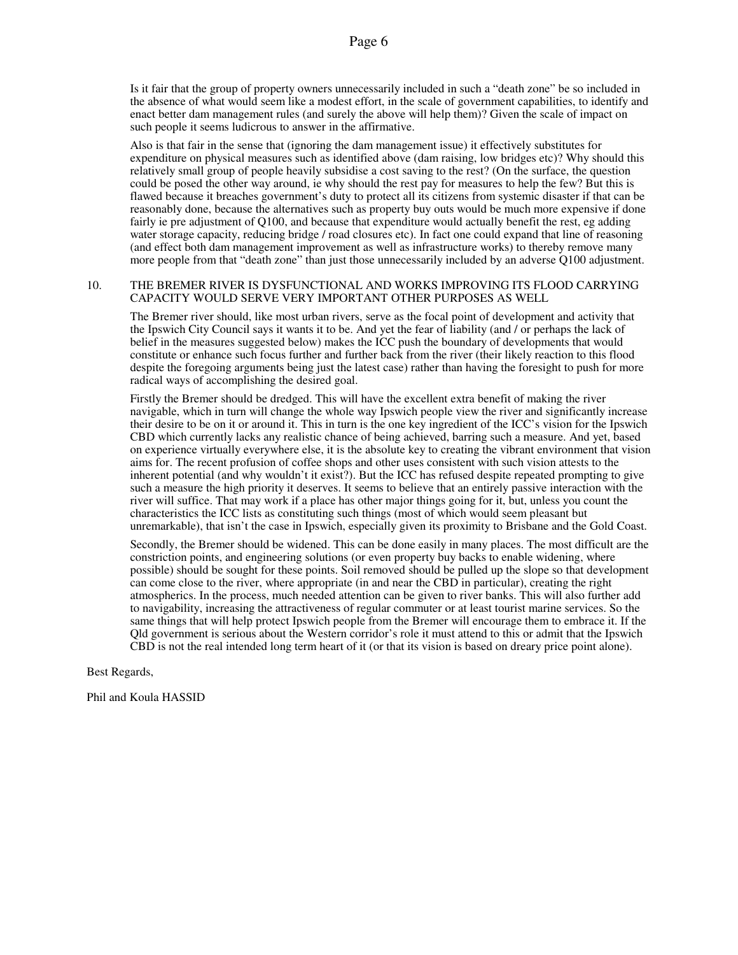Is it fair that the group of property owners unnecessarily included in such a "death zone" be so included in the absence of what would seem like a modest effort, in the scale of government capabilities, to identify and enact better dam management rules (and surely the above will help them)? Given the scale of impact on such people it seems ludicrous to answer in the affirmative.

Also is that fair in the sense that (ignoring the dam management issue) it effectively substitutes for expenditure on physical measures such as identified above (dam raising, low bridges etc)? Why should this relatively small group of people heavily subsidise a cost saving to the rest? (On the surface, the question could be posed the other way around, ie why should the rest pay for measures to help the few? But this is flawed because it breaches government's duty to protect all its citizens from systemic disaster if that can be reasonably done, because the alternatives such as property buy outs would be much more expensive if done fairly ie pre adjustment of Q100, and because that expenditure would actually benefit the rest, eg adding water storage capacity, reducing bridge / road closures etc). In fact one could expand that line of reasoning (and effect both dam management improvement as well as infrastructure works) to thereby remove many more people from that "death zone" than just those unnecessarily included by an adverse Q100 adjustment.

## 10. THE BREMER RIVER IS DYSFUNCTIONAL AND WORKS IMPROVING ITS FLOOD CARRYING CAPACITY WOULD SERVE VERY IMPORTANT OTHER PURPOSES AS WELL

The Bremer river should, like most urban rivers, serve as the focal point of development and activity that the Ipswich City Council says it wants it to be. And yet the fear of liability (and / or perhaps the lack of belief in the measures suggested below) makes the ICC push the boundary of developments that would constitute or enhance such focus further and further back from the river (their likely reaction to this flood despite the foregoing arguments being just the latest case) rather than having the foresight to push for more radical ways of accomplishing the desired goal.

Firstly the Bremer should be dredged. This will have the excellent extra benefit of making the river navigable, which in turn will change the whole way Ipswich people view the river and significantly increase their desire to be on it or around it. This in turn is the one key ingredient of the ICC's vision for the Ipswich CBD which currently lacks any realistic chance of being achieved, barring such a measure. And yet, based on experience virtually everywhere else, it is the absolute key to creating the vibrant environment that vision aims for. The recent profusion of coffee shops and other uses consistent with such vision attests to the inherent potential (and why wouldn't it exist?). But the ICC has refused despite repeated prompting to give such a measure the high priority it deserves. It seems to believe that an entirely passive interaction with the river will suffice. That may work if a place has other major things going for it, but, unless you count the characteristics the ICC lists as constituting such things (most of which would seem pleasant but unremarkable), that isn't the case in Ipswich, especially given its proximity to Brisbane and the Gold Coast.

Secondly, the Bremer should be widened. This can be done easily in many places. The most difficult are the constriction points, and engineering solutions (or even property buy backs to enable widening, where possible) should be sought for these points. Soil removed should be pulled up the slope so that development can come close to the river, where appropriate (in and near the CBD in particular), creating the right atmospherics. In the process, much needed attention can be given to river banks. This will also further add to navigability, increasing the attractiveness of regular commuter or at least tourist marine services. So the same things that will help protect Ipswich people from the Bremer will encourage them to embrace it. If the Qld government is serious about the Western corridor's role it must attend to this or admit that the Ipswich CBD is not the real intended long term heart of it (or that its vision is based on dreary price point alone).

Best Regards,

Phil and Koula HASSID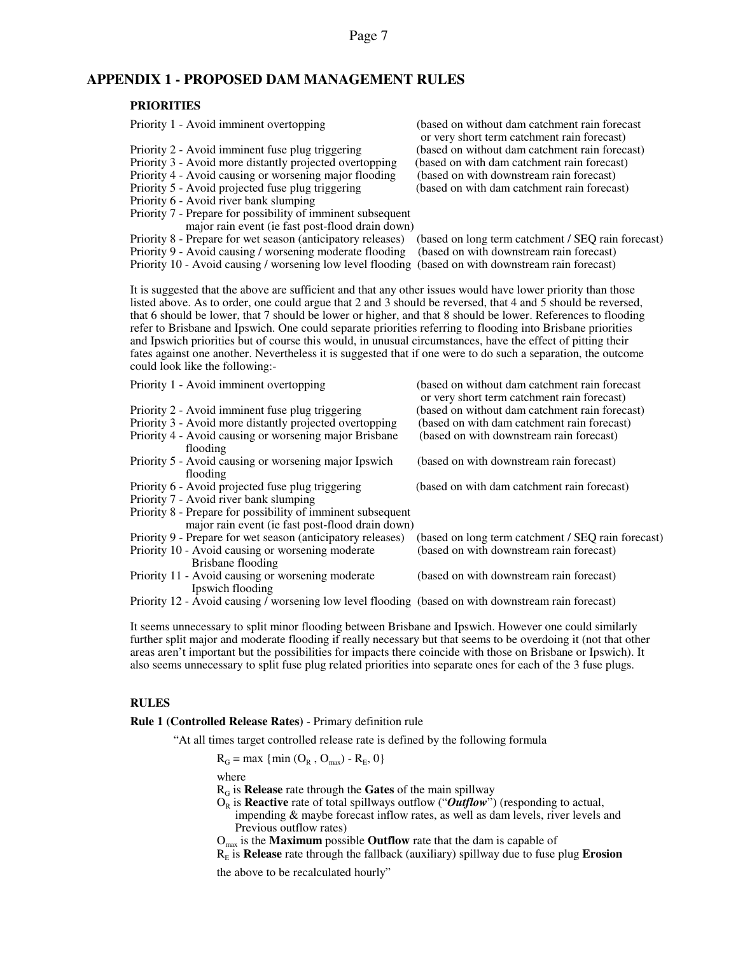# **APPENDIX 1 - PROPOSED DAM MANAGEMENT RULES**

# **PRIORITIES**

Priority 5 - Avoid projected fuse plug triggering

Priority 6 - Avoid river bank slumping

Priority 7 - Prepare for possibility of imminent subsequent major rain event (ie fast post-flood drain down)<br>Prepare for wet season (anticipatory releases) (based on long term catchment / SEO rain forecast)

Priority 8 - Prepare for wet season (anticipatory releases)

Priority 9 - Avoid causing / worsening moderate flooding (based on with downstream rain forecast)

Priority 1 - Avoid imminent overtopping (based on without dam catchment rain forecast or very short term catchment rain forecast)<br>(based on without dam catchment rain forecast) Priority 2 - Avoid imminent fuse plug triggering (based on without dam catchment rain forecast)<br>Priority 3 - Avoid more distantly projected overtopping (based on with dam catchment rain forecast) Priority 3 - Avoid more distantly projected overtopping (based on with dam catchment rain forecast)<br>Priority 4 - Avoid causing or worsening major flooding (based on with downstream rain forecast) Priority 4 - Avoid causing or worsening major flooding (based on with downstream rain forecast)<br>Priority 5 - Avoid projected fuse plug triggering (based on with dam catchment rain forecast)

Priority 10 - Avoid causing / worsening low level flooding (based on with downstream rain forecast)

It is suggested that the above are sufficient and that any other issues would have lower priority than those listed above. As to order, one could argue that 2 and 3 should be reversed, that 4 and 5 should be reversed, that 6 should be lower, that 7 should be lower or higher, and that 8 should be lower. References to flooding refer to Brisbane and Ipswich. One could separate priorities referring to flooding into Brisbane priorities and Ipswich priorities but of course this would, in unusual circumstances, have the effect of pitting their fates against one another. Nevertheless it is suggested that if one were to do such a separation, the outcome could look like the following:-

| Priority 1 - Avoid imminent overtopping                                                                         | (based on without dam catchment rain forecast)<br>or very short term catchment rain forecast) |
|-----------------------------------------------------------------------------------------------------------------|-----------------------------------------------------------------------------------------------|
| Priority 2 - Avoid imminent fuse plug triggering                                                                | (based on without dam catchment rain forecast)                                                |
| Priority 3 - Avoid more distantly projected overtopping                                                         | (based on with dam catchment rain forecast)                                                   |
| Priority 4 - Avoid causing or worsening major Brisbane<br>flooding                                              | (based on with downstream rain forecast)                                                      |
| Priority 5 - Avoid causing or worsening major Ipswich<br>flooding                                               | (based on with downstream rain forecast)                                                      |
| Priority 6 - Avoid projected fuse plug triggering                                                               | (based on with dam catchment rain forecast)                                                   |
| Priority 7 - Avoid river bank slumping                                                                          |                                                                                               |
| Priority 8 - Prepare for possibility of imminent subsequent<br>major rain event (ie fast post-flood drain down) |                                                                                               |
| Priority 9 - Prepare for wet season (anticipatory releases)                                                     | (based on long term catchment / SEQ rain forecast)                                            |
| Priority 10 - Avoid causing or worsening moderate<br>Brisbane flooding                                          | (based on with downstream rain forecast)                                                      |
| Priority 11 - Avoid causing or worsening moderate<br>Ipswich flooding                                           | (based on with downstream rain forecast)                                                      |
| $Driontri 12$ Avoid equaing Lucreaning law layel flooding (based on with downstream rain forecast)              |                                                                                               |

Priority 12 - Avoid causing / worsening low level flooding (based on with downstream rain forecast)

It seems unnecessary to split minor flooding between Brisbane and Ipswich. However one could similarly further split major and moderate flooding if really necessary but that seems to be overdoing it (not that other areas aren't important but the possibilities for impacts there coincide with those on Brisbane or Ipswich). It also seems unnecessary to split fuse plug related priorities into separate ones for each of the 3 fuse plugs.

### **RULES**

**Rule 1 (Controlled Release Rates)** - Primary definition rule

"At all times target controlled release rate is defined by the following formula

 $R_G = \max \{ \min (O_R, O_{max}) - R_E, 0 \}$ 

where

RG is **Release** rate through the **Gates** of the main spillway

- O<sub>R</sub> is **Reactive** rate of total spillways outflow ("*Outflow*") (responding to actual,
	- impending & maybe forecast inflow rates, as well as dam levels, river levels and Previous outflow rates)
- Omax is the **Maximum** possible **Outflow** rate that the dam is capable of

RE is **Release** rate through the fallback (auxiliary) spillway due to fuse plug **Erosion**

the above to be recalculated hourly"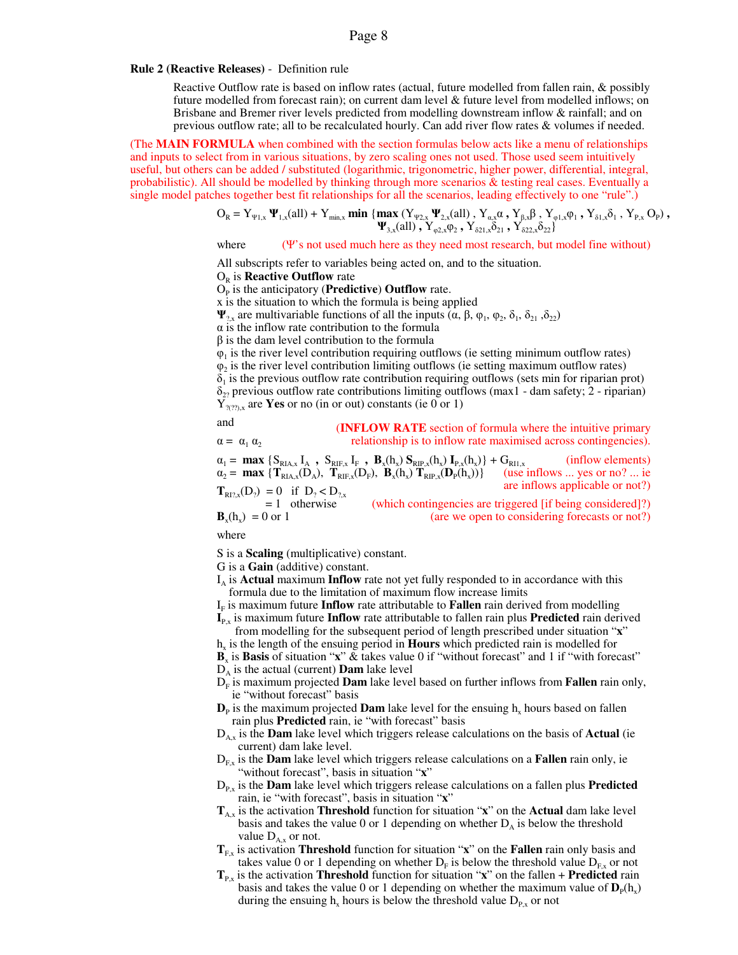### **Rule 2 (Reactive Releases)** - Definition rule

Reactive Outflow rate is based on inflow rates (actual, future modelled from fallen rain, & possibly future modelled from forecast rain); on current dam level & future level from modelled inflows; on Brisbane and Bremer river levels predicted from modelling downstream inflow & rainfall; and on previous outflow rate; all to be recalculated hourly. Can add river flow rates & volumes if needed.

(The **MAIN FORMULA** when combined with the section formulas below acts like a menu of relationships and inputs to select from in various situations, by zero scaling ones not used. Those used seem intuitively useful, but others can be added / substituted (logarithmic, trigonometric, higher power, differential, integral, probabilistic). All should be modelled by thinking through more scenarios & testing real cases. Eventually a single model patches together best fit relationships for all the scenarios, leading effectively to one "rule".)

$$
O_R = Y_{\Psi1,x} \Psi_{1,x}(all) + Y_{min,x} \min \{ \max (Y_{\Psi2,x} \Psi_{2,x}(all), Y_{\alpha,x} \alpha, Y_{\beta,x} \beta, Y_{\phi1,x} \phi_1, Y_{\delta1,x} \delta_1, Y_{P,x} O_P), \newline \Psi_{3,x}(all), Y_{\phi2,x} \phi_2, Y_{\delta21,x} \delta_{21}, Y_{\delta22,x} \delta_{22} \}
$$

### where (Ψ's not used much here as they need most research, but model fine without)

All subscripts refer to variables being acted on, and to the situation.

**O<sub>R</sub>** is **Reactive Outflow** rate

# $O<sub>p</sub>$  is the anticipatory (**Predictive**) **Outflow** rate.

x is the situation to which the formula is being applied

**Ψ**<sub>2,x</sub> are multivariable functions of all the inputs ( $\alpha$ ,  $\beta$ ,  $\varphi_1$ ,  $\varphi_2$ ,  $\delta_1$ ,  $\delta_{21}$ ,  $\delta_{22}$ )

 $\alpha$  is the inflow rate contribution to the formula

β is the dam level contribution to the formula

 $\varphi_1$  is the river level contribution requiring outflows (ie setting minimum outflow rates)  $\varphi_2$  is the river level contribution limiting outflows (ie setting maximum outflow rates)  $\delta_1$  is the previous outflow rate contribution requiring outflows (sets min for riparian prot)  $\delta_{22}$  previous outflow rate contributions limiting outflows (max1 - dam safety; 2 - riparian)  $Y_{\gamma(\gamma)x}$  are **Yes** or no (in or out) constants (ie 0 or 1)

# and (**INFLOW RATE** section of formula where the intuitive primary

 $\alpha = \alpha_1 \alpha_2$ relationship is to inflow rate maximised across contingencies).

 $\alpha_1 = \max \{ S_{RIA,x} I_A$ ,  $S_{RIF,x} I_F$ ,  $B_x(h_x) S_{RIP,x}(h_x) I_{P,x}(h_x) \} + G_{RII,x}$  (inflow elements)  $\alpha_2 = \max \{ \mathbf{T}_{\text{RIA},x}(\mathbf{D}_A), \ \mathbf{T}_{\text{RIF},x}(\mathbf{D}_F), \ \mathbf{B}_x(\mathbf{h}_x) \ \mathbf{T}_{\text{RIF},x}(\mathbf{D}_P(\mathbf{h}_x)) \}$  (use inflows ... yes or no? ... ie  $\mathbf{T}_{\text{R12},x}(\mathbf{D}_2) = 0$  if  $\mathbf{D}_2 < \mathbf{D}_{2,x}$  are inflows applicable or not?)  $= 1$  otherwise (which contingencies are triggered [if being considered]?)  $\mathbf{B}_x$ (h<sub>x</sub>

(are we open to considering forecasts or not?)

where

S is a **Scaling** (multiplicative) constant.

G is a **Gain** (additive) constant.

- $I_A$  is **Actual** maximum **Inflow** rate not yet fully responded to in accordance with this formula due to the limitation of maximum flow increase limits
- I<sub>F</sub> is maximum future **Inflow** rate attributable to **Fallen** rain derived from modelling
- **I**<sub>P,x</sub> is maximum future **Inflow** rate attributable to fallen rain plus **Predicted** rain derived from modelling for the subsequent period of length prescribed under situation "**x**"
- h<sub>x</sub> is the length of the ensuing period in **Hours** which predicted rain is modelled for
- $\mathbf{B}_x$  is **Basis** of situation "**x**" & takes value 0 if "without forecast" and 1 if "with forecast" DA is the actual (current) **Dam** lake level
- DF is maximum projected **Dam** lake level based on further inflows from **Fallen** rain only, ie "without forecast" basis
- $\mathbf{D}_{\rm P}$  is the maximum projected **Dam** lake level for the ensuing  $h_x$  hours based on fallen rain plus **Predicted** rain, ie "with forecast" basis
- DA,x is the **Dam** lake level which triggers release calculations on the basis of **Actual** (ie current) dam lake level.
- DF,x is the **Dam** lake level which triggers release calculations on a **Fallen** rain only, ie "without forecast", basis in situation "**x**"
- DP,x is the **Dam** lake level which triggers release calculations on a fallen plus **Predicted** rain, ie "with forecast", basis in situation "**x**"
- **T**A,x is the activation **Threshold** function for situation "**x**" on the **Actual** dam lake level basis and takes the value 0 or 1 depending on whether  $D<sub>A</sub>$  is below the threshold value  $D_{A_x}$  or not.
- $T_{F.x}$  is activation **Threshold** function for situation "**x**" on the **Fallen** rain only basis and takes value 0 or 1 depending on whether  $D_F$  is below the threshold value  $D_{F,x}$  or not
- $T_{P,x}$  is the activation **Threshold** function for situation "**x**" on the fallen + **Predicted** rain basis and takes the value 0 or 1 depending on whether the maximum value of  $D<sub>p</sub>(h<sub>x</sub>)$ during the ensuing  $h_x$  hours is below the threshold value  $D_{P,x}$  or not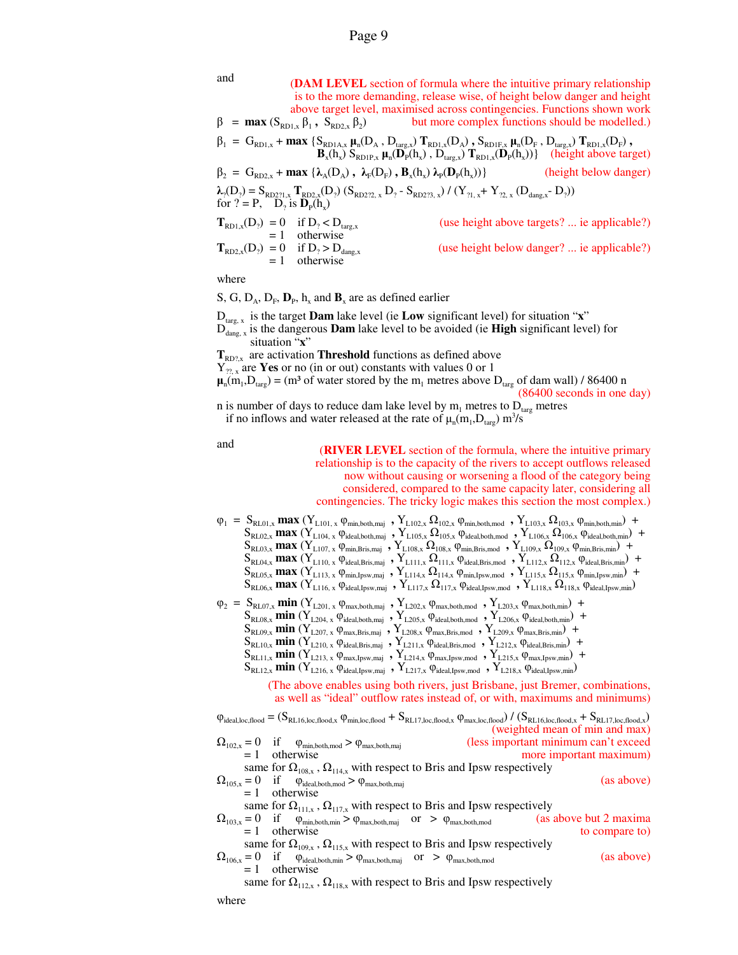| and<br>$\beta$ = <b>max</b> ( $S_{RDL,x} \beta_1$ , $S_{RD2,x} \beta_2$ )                                                                                                                                                                                                  | (DAM LEVEL section of formula where the intuitive primary relationship<br>is to the more demanding, release wise, of height below danger and height<br>above target level, maximised across contingencies. Functions shown work<br>but more complex functions should be modelled.) |
|----------------------------------------------------------------------------------------------------------------------------------------------------------------------------------------------------------------------------------------------------------------------------|------------------------------------------------------------------------------------------------------------------------------------------------------------------------------------------------------------------------------------------------------------------------------------|
| $\beta_1 = G_{RD1,x} + \max \left\{ S_{RD1A,x} \mu_n(D_A, D_{targ,x}) T_{RD1,x}(D_A), S_{RD1F,x} \mu_n(D_F, D_{targ,x}) T_{RD1,x}(D_F), \right. \\ \left. B_x(h_x) S_{RD1P,x} \mu_n(D_p(h_x), D_{targ,x}) T_{RD1,x}(D_p(h_x)) \right\} \quad \text{(height above target)}$ |                                                                                                                                                                                                                                                                                    |
| $\beta_2 = G_{RD2,x} + \max \{ \lambda_A(D_A), \lambda_F(D_F), B_x(h_x) \lambda_P(D_P(h_x)) \}$                                                                                                                                                                            | (height below danger)                                                                                                                                                                                                                                                              |
| $\lambda_2(D_2) = S_{RD271,x} T_{RD2,x}(D_2) (S_{RD272,x} D_2 - S_{RD273,x}) / (Y_{21,x} + Y_{22,x} (D_{\text{dang},x} - D_2))$<br>for $? = P$ , $D_2$ is $D_p(h_x)$                                                                                                       |                                                                                                                                                                                                                                                                                    |
| $\mathbf{T}_{\text{RD1},x}(D_2) = 0$ if $D_2 < D_{\text{targ},x}$<br>= 1 otherwise                                                                                                                                                                                         | (use height above targets?  ie applicable?)                                                                                                                                                                                                                                        |
| $\mathbf{T}_{\text{RD2},x}(D_2) = 0$ if $D_2 > D_{\text{dang},x}$<br>= 1 otherwise                                                                                                                                                                                         | (use height below danger?  ie applicable?)                                                                                                                                                                                                                                         |

where

S, G,  $D_A$ ,  $D_F$ ,  $D_P$ ,  $h_x$  and  $B_x$  are as defined earlier

 $D_{\text{targ. }x}$  is the target **Dam** lake level (ie **Low** significant level) for situation "**x**"

Ddang, x is the dangerous **Dam** lake level to be avoided (ie **High** significant level) for situation "**x**"

 $T<sub>RD2x</sub>$  are activation **Threshold** functions as defined above

 $Y_{\gamma_{2}x}$  are **Yes** or no (in or out) constants with values 0 or 1

 $\mu_n(m_1, D_{\text{targ}}) = (m^3 \text{ of water stored by the } m_1 \text{ metres above } D_{\text{targ}} \text{ of dam wall}) / 86400 \text{ n}$ (86400 seconds in one day)

n is number of days to reduce dam lake level by  $m_1$  metres to  $D_{\text{targ}}$  metres if no inflows and water released at the rate of  $\mu_n(m_1, D_{\text{targ}})$  m<sup>3</sup>/s

and (**RIVER LEVEL** section of the formula, where the intuitive primary relationship is to the capacity of the rivers to accept outflows released now without causing or worsening a flood of the category being considered, compared to the same capacity later, considering all contingencies. The tricky logic makes this section the most complex.)  $\varphi_1 = S_{\text{RLO1},x} \max (Y_{\text{L101},x} \varphi_{\text{min},\text{both},\text{maj}} , Y_{\text{L102},x} \Omega_{\text{102},x} \varphi_{\text{min},\text{both},\text{mod}} , Y_{\text{L103},x} \Omega_{\text{103},x} \varphi_{\text{min},\text{both},\text{min}} ) +$  $S_{RL02,x}$  **max**  $(Y_{L104, x}$   $\varphi_{ideal, both, maj}$  **,**  $Y_{L105,x}$   $\Omega_{105,x}$   $\varphi_{ideal, both,mod}$  **,**  $Y_{L106,x}$   $\Omega_{106,x}$   $\varphi_{ideal, both, min}$  +  $S_{RL03,x}$  **max**  $(Y_{L107,x}$   $\varphi_{min,Bris,maj}$  **,**  $Y_{L108,x}$   $\Omega_{108,x}$   $\varphi_{min,Bris,mod}$  **,**  $Y_{L109,x}$   $\Omega_{109,x}$   $\varphi_{min,Bris,min}$  +  $S_{RL04,x}$  **max**  $(Y_{L110,x}$   $\varphi_{ideal,Bris,maj}$   $Y_{L111,x}$   $\Omega_{111,x}$   $\varphi_{ideal,Bris,mod}$   $Y_{L112,x}$   $\Omega_{112,x}$   $\varphi_{ideal,Bris,min}$  +  $S_{RL05,x}$  **max**  $(Y_{L113,x} \varphi_{min,IPsw,maj}$  **,**  $Y_{L114,x} \Omega_{114,x} \varphi_{min,IPsw,mod}$  **,**  $Y_{L115,x} \Omega_{115,x} \varphi_{min,IPsw,min}$  +  $S_{RL06,x}$  **max**  $(Y_{L116, x}$   $\varphi_{ideal,lpsw,maj}$  **,**  $Y_{L117, x}$   $\Omega_{117, x}$   $\varphi_{ideal,lpsw,mod}$  **,**  $Y_{L118, x}$   $\Omega_{118, x}$   $\varphi_{ideal,lpsw,min}$  $\varphi_2 = S_{\text{RLO7},x}$  **min**  $(Y_{\text{L201},x} \varphi_{\text{max},\text{both},\text{maj}})$  ,  $Y_{\text{L202},x} \varphi_{\text{max},\text{both},\text{mod}}$  ,  $Y_{\text{L203},x} \varphi_{\text{max},\text{both},\text{min}})$  +  $S_{R_{1,08,x}}$  **min**  $(Y_{L204,x} \phi_{ideal, both,maj}$  **,**  $Y_{L205,x} \phi_{ideal, both,mod}$  **,**  $Y_{L206,x} \phi_{ideal, both,min}$  +  $S_{RLO9,x}$  **min**  $(Y_{L207,x}$   $\varphi_{max,Bris,maj}$  **,**  $Y_{L208,x}$   $\varphi_{max,Bris,mod}$  **,**  $Y_{L209,x}$   $\varphi_{max,Bris,min}$  +  $S_{RL10,x}$  **min**  $(Y_{L210,x} \phi_{ideal,Bris,maj}$  **,**  $Y_{L211,x} \phi_{ideal,Bris,mod}$  **,**  $Y_{L212,x} \phi_{ideal,Bris,min}$  +  $S_{\text{RL11},x}$  **min**  $(Y_{L213, x} \varphi_{\text{max,Ipsw,maj}} , Y_{L214, x} \varphi_{\text{max,Ipsw,mod}} , Y_{L215, x} \varphi_{\text{max,Ipsw,min}} )$  +  $S_{RL12,x}$  min  $(Y_{L216, x}$   $\varphi_{ideal, Ipsw, maj}$   $, Y_{L217, x}$   $\varphi_{ideal, Ipsw, mod}$   $, Y_{L218, x}$   $\varphi_{ideal, Ipsw, min}$ (The above enables using both rivers, just Brisbane, just Bremer, combinations, as well as "ideal" outflow rates instead of, or with, maximums and minimums)  $\varphi_{\text{ideal,loc,flood}} = (S_{\text{RL16,loc,flood,x}} \varphi_{\text{min,loc,flood}} + S_{\text{RL17,loc,flood,x}} \varphi_{\text{max,loc,flood}}) / (S_{\text{RL16,loc,flood,x}} + S_{\text{RL17,loc,flood,x}})$ (weighted mean of min and max)<br>(less important minimum can't exceed  $\Omega_{102,x} = 0$  if  $\varphi_{min, both,mod} > \varphi_{max, both, maj}$ <br>= 1 otherwise more important maximum) same for  $\Omega_{108,x}$ ,  $\Omega_{114,x}$  with respect to Bris and Ipsw respectively  $\Omega_{105,x} = 0$  if  $\varphi_{\text{ideal}, \text{both}, \text{mod}} > \varphi_{\text{max}, \text{both}, \text{maj}}$  (as above)  $= 1$  otherwise same for  $\Omega_{111,x}$ ,  $\Omega_{117,x}$  with respect to Bris and Ipsw respectively<br>= 0 if  $\Phi_{\text{min both min}} > \Phi_{\text{max both min}}$  or  $> \Phi_{\text{max both mod}}$  (as above but 2 maxima  $\Omega_{103,x} = 0$  if  $\varphi_{min, both,min} > \varphi_{max, both, maj}$  or  $> \varphi_{max, both, mod}$  (as above but 2 maxima = 1 otherwise to compare to)  $= 1$  otherwise same for  $\Omega_{109,x}$ ,  $\Omega_{115,x}$  with respect to Bris and Ipsw respectively  $\Omega_{106,x} = 0$  if  $\varphi_{ideal, both,min} > \varphi_{max, both, maj}$  or  $> \varphi_{max, both,mod}$  (as above) = 1 otherwise same for  $\Omega_{112,x}$ ,  $\Omega_{118,x}$  with respect to Bris and Ipsw respectively where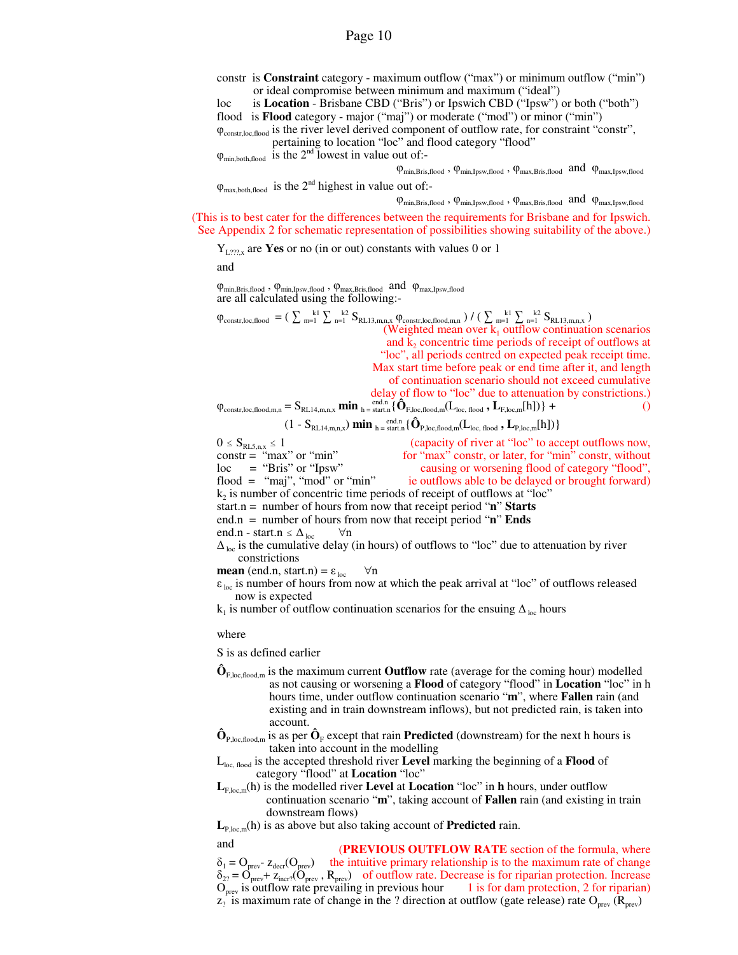constr is **Constraint** category - maximum outflow ("max") or minimum outflow ("min") or ideal compromise between minimum and maximum ("ideal")

loc is **Location** - Brisbane CBD ("Bris") or Ipswich CBD ("Ipsw") or both ("both") flood is **Flood** category - major ("maj") or moderate ("mod") or minor ("min")

φconstr,loc,flood is the river level derived component of outflow rate, for constraint "constr", pertaining to location "loc" and flood category "flood"

 $\varphi_{\text{min,both,flood}}$  is the  $2^{\text{nd}}$  lowest in value out of:-

 $\varphi_{\text{min,Bris,flood}}$ ,  $\varphi_{\text{min,Ipsw,flood}}$ ,  $\varphi_{\text{max,Bris,flood}}$  and  $\varphi_{\text{max,Ipsw,flood}}$ 

 $\varphi_{\text{max both flood}}$  is the 2<sup>nd</sup> highest in value out of:-

 $\phi_{\text{min,Bris,flood}}$  ,  $\phi_{\text{min,Ipsw,flood}}$  ,  $\phi_{\text{max,Bris,flood}}$  and  $\,\,\phi_{\text{max,Ipsw,flood}}$ 

(This is to best cater for the differences between the requirements for Brisbane and for Ipswich. See Appendix 2 for schematic representation of possibilities showing suitability of the above.)

 $Y_{L272x}$  are **Yes** or no (in or out) constants with values 0 or 1

and

 $\phi_{\text{min,Bris,flood}}$  ,  $\phi_{\text{min,Ipsw,flood}}$  ,  $\phi_{\text{max,Bris,flood}}$  and  $\phi_{\text{max,Ipsw,flood}}$ are all calculated using the following:-

 $\varphi_{\text{constr,loc,flood}} = (\sum_{m=1}^{k1} \sum_{n=1}^{k2} S_{RL13,m,n,x} \varphi_{\text{constr,loc,flood,m,n}}) / (\sum_{m=1}^{k1} \sum_{n=1}^{k2} S_{RL13,m,n,x})$ (Weighted mean over  $k_1$  outflow continuation scenarios and  $k_2$  concentric time periods of receipt of outflows at "loc", all periods centred on expected peak receipt time. Max start time before peak or end time after it, and length of continuation scenario should not exceed cumulative delay of flow to "loc" due to attenuation by constrictions.)

$$
\varphi_{constr,loc,flood,m,n} = S_{RL14,m,n,x} \min \inf_{h = start, n} \{ \hat{\mathbf{O}}_{F,loc,flood,m}(L_{loc,flood}, \mathbf{L}_{F,loc,m}[h]) \} +
$$

$$
(1-S_{\text{RL14},\text{m,n,x}}) \ \textbf{min} \ _{\text{h}=\text{start,n}} \{ \hat{\mathbf{O}}_{\text{P,loc,flood,m}}(L_{\text{loc,flood}} \ , \mathbf{L}_{\text{P,loc,m}}[h]) \}
$$

 $0 \le S_{\text{RL5,n,x}} \le 1$  (capacity of river at "loc" to accept outflows now,<br>constr = "max" or "min" for "max" constr, or later, for "min" constr, without  $\text{constr} = \text{``max''} \text{ or } \text{``min''}$  for "max" constr, or later, for "min" constr, without  $\text{loc} = \text{``Bris''} \text{ or } \text{``Ipsw''}$  causing or worsening flood of category "flood", loc = "Bris" or "Ipsw" causing or worsening flood of category "flood",<br>flood = "maj", "mod" or "min" ie outflows able to be delayed or brought forward) ie outflows able to be delayed or brought forward)  $k_2$  is number of concentric time periods of receipt of outflows at "loc" start.n = number of hours from now that receipt period "**n**" **Starts** end.n = number of hours from now that receipt period "**n**" **Ends**

end.n - start.n  $\leq \Delta_{\text{loc}}$   $\forall$ n

 $\Delta_{\text{loc}}$  is the cumulative delay (in hours) of outflows to "loc" due to attenuation by river constrictions

**mean** (end.n, start.n) =  $\varepsilon_{loc}$   $\forall$ n

 $\varepsilon_{\text{loc}}$  is number of hours from now at which the peak arrival at "loc" of outflows released now is expected

 $k_1$  is number of outflow continuation scenarios for the ensuing  $\Delta_{\text{loc}}$  hours

where

S is as defined earlier

- **Ô**F,loc,flood,m is the maximum current **Outflow** rate (average for the coming hour) modelled as not causing or worsening a **Flood** of category "flood" in **Location** "loc" in h hours time, under outflow continuation scenario "**m**", where **Fallen** rain (and existing and in train downstream inflows), but not predicted rain, is taken into account.
- $\hat{\mathbf{O}}_{\text{P,loc,flood,m}}$  is as per  $\hat{\mathbf{O}}_{\text{F}}$  except that rain **Predicted** (downstream) for the next h hours is taken into account in the modelling

Lloc, flood is the accepted threshold river **Level** marking the beginning of a **Flood** of category "flood" at **Location** "loc"

**L**F,loc,m(h) is the modelled river **Level** at **Location** "loc" in **h** hours, under outflow continuation scenario "**m**", taking account of **Fallen** rain (and existing in train downstream flows)

 $L_{P,loc,m}(h)$  is as above but also taking account of **Predicted** rain.

and (**PREVIOUS OUTFLOW RATE** section of the formula, where  $\delta_1 = O_{prev}$   $z_{\text{decr}}(O_{prev})$  the intuitive primary relationship is to the maximum rate of change  $\delta_{27} = \dot{O}_{prev} + z_{\text{incr?}}(\dot{O}_{prev}, R_{prev})$  of outflow rate. Decrease is for riparian protection. Increase  $O_{prev}$  is outflow rate prevailing in previous hour 1 is for dam protection, 2 for riparian)  $O<sub>prev</sub>$  is outflow rate prevailing in previous hour  $z_2$  is maximum rate of change in the ? direction at outflow (gate release) rate  $O_{prev} (R_{prev})$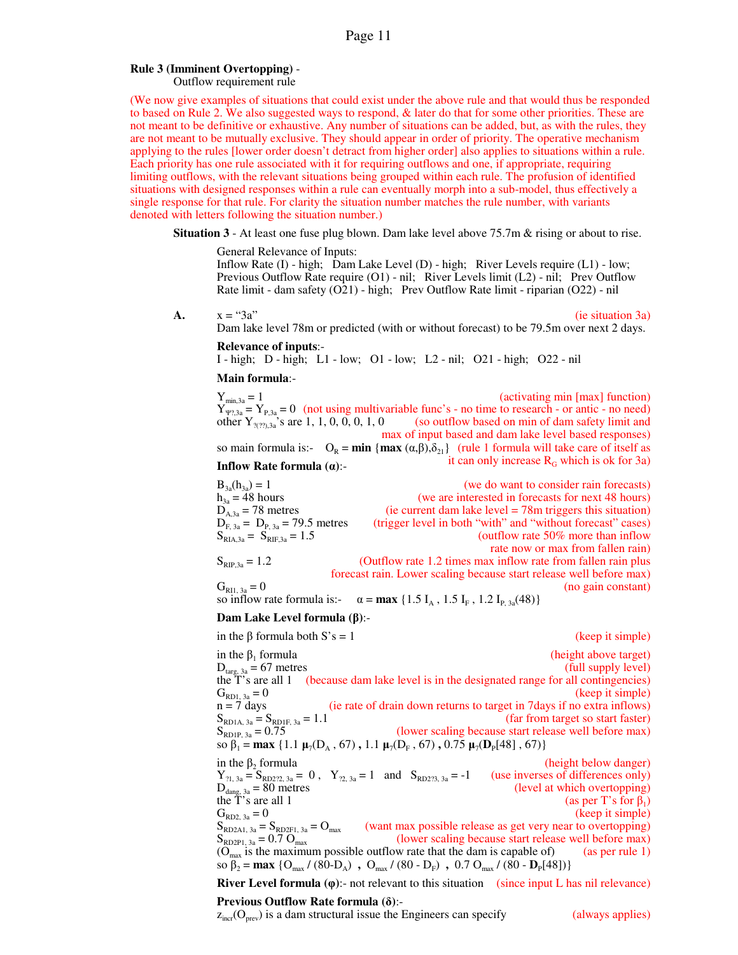### **Rule 3 (Imminent Overtopping)** -

Outflow requirement rule

(We now give examples of situations that could exist under the above rule and that would thus be responded to based on Rule 2. We also suggested ways to respond, & later do that for some other priorities. These are not meant to be definitive or exhaustive. Any number of situations can be added, but, as with the rules, they are not meant to be mutually exclusive. They should appear in order of priority. The operative mechanism applying to the rules [lower order doesn't detract from higher order] also applies to situations within a rule. Each priority has one rule associated with it for requiring outflows and one, if appropriate, requiring limiting outflows, with the relevant situations being grouped within each rule. The profusion of identified situations with designed responses within a rule can eventually morph into a sub-model, thus effectively a single response for that rule. For clarity the situation number matches the rule number, with variants denoted with letters following the situation number.)

**Situation 3** - At least one fuse plug blown. Dam lake level above 75.7m & rising or about to rise.

General Relevance of Inputs:

Inflow Rate (I) - high; Dam Lake Level (D) - high; River Levels require (L1) - low; Previous Outflow Rate require (O1) - nil; River Levels limit (L2) - nil; Prev Outflow Rate limit - dam safety (O21) - high; Prev Outflow Rate limit - riparian (O22) - nil

**A.**  $x = "3a"$  (ie situation 3a) Dam lake level 78m or predicted (with or without forecast) to be 79.5m over next 2 days.

**Relevance of inputs**:-

I - high; D - high; L1 - low; O1 - low; L2 - nil; O21 - high; O22 - nil

**Main formula**:-

 $Y_{\min,3a} = 1$  (activating min [max] function)  $Y_{\Psi$ ?,3a =  $Y_{P,3a} = 0$  (not using multivariable func's - no time to research - or antic - no need) other  $Y_{\gamma(27),3a}$ 's are 1, 1, 0, 0, 0, 1, 0 (so outflow based on min of dam safety limit and max of input based and dam lake level based responses)

so main formula is:-  $O_R = \min \{ \max(\alpha, \beta), \delta_{21} \}$  (rule 1 formula will take care of itself as it can only increase RG which is ok for 3a) **Inflow Rate formula (α)**:-

 $B_{3a}(h_{3a}) = 1$  (we do want to consider rain forecasts)<br>  $h_{3a} = 48$  hours (we are interested in forecasts for next 48 hours)  $h_{3a} = 48$  hours (we are interested in forecasts for next 48 hours)<br>  $D_{A,3a} = 78$  metres (ie current dam lake level = 78m triggers this situation)  $\alpha$  (ie current dam lake level = 78m triggers this situation) (trigger level in both "with" and "without forecast" cases)<br>(outflow rate 50% more than inflow  $D_{F, 3a} = D_{P, 3a} = 79.5$  metres<br>  $S_{RIA, 3a} = S_{RIF, 3a} = 1.5$ rate now or max from fallen rain)

 $S_{RIP,3a} = 1.2$  (Outflow rate 1.2 times max inflow rate from fallen rain plus forecast rain. Lower scaling because start release well before max)  $G_{R11, 3a} = 0$  (no gain constant)

so inflow rate formula is:-  $\alpha = \max \{1.5 I_A, 1.5 I_F, 1.2 I_{P, 3a}(48)\}\$ 

### **Dam Lake Level formula (β)**:-

in the β formula both  $S's = 1$  (keep it simple) in the  $β_1$  formula (height above target)  $D_{\text{targ, 3a}} = 67 \text{ metres}$  (full supply level) the T's are all 1 (because dam lake level is in the designated range for all contingencies)  $G_{\text{RD1, 3a}} = 0$  (keep it simple)<br>  $n = 7$  days (ie rate of drain down returns to target in 7 days if no extra inflows) (ie rate of drain down returns to target in 7days if no extra inflows)  $S_{\text{RD1A, 3a}} = S_{\text{RD1F, 3a}} = 1.1$  (far from target so start faster)<br> $S_{\text{RD1P, 3a}} = 0.75$  (lower scaling because start release well before max) (lower scaling because start release well before max)  $\text{so } \beta_1 = \max \{1.1 \ \mu_7(\text{D}_\text{A}, 67), 1.1 \ \mu_7(\text{D}_\text{F}, 67), 0.75 \ \mu_7(\text{D}_\text{P}[48], 67)\}\$ in the  $β_2$  formula (height below danger)  $Y_{21, 3a} = S_{RD222, 3a} = 0$ ,  $Y_{22, 3a} = 1$  and  $S_{RD223, 3a} = -1$  (use inverses of differences only) (level at which overtopping)  $D_{\text{dang, 3a}}^{\text{th, 3a}} = 80 \text{ metres}$ <br>the T's are all 1<br> $G_{\text{RD2, 3a}} = 0$ (as per T's for  $\beta_1$ )  $G_{RD2, 3a} = 0$  (keep it simple)<br>  $S_{RD2A1, 3a} = S_{RD2F1, 3a} = O_{max}$  (want max possible release as get very near to overtopping)  $S_{RD2A1, 3a} = S_{RD2F1, 3a} = O_{max}$  (want max possible release as get very near to overtopping)<br>  $S_{RD2P1, 3a} = 0.7 O_{max}$  (lower scaling because start release well before max) (lower scaling because start release well before max)  $(O<sub>max</sub>$  is the maximum possible outflow rate that the dam is capable of) (as per rule 1) so  $\beta_2 = \max \{ O_{\max} / (80 - D_A) , O_{\max} / (80 - D_F) , 0.7 O_{\max} / (80 - D_P[48]) \}$ 

**River Level formula (φ)**:- not relevant to this situation (since input L has nil relevance)

# **Previous Outflow Rate formula (δ)**:-

 $z<sub>inc</sub>(O<sub>prev</sub>)$  is a dam structural issue the Engineers can specify (always applies)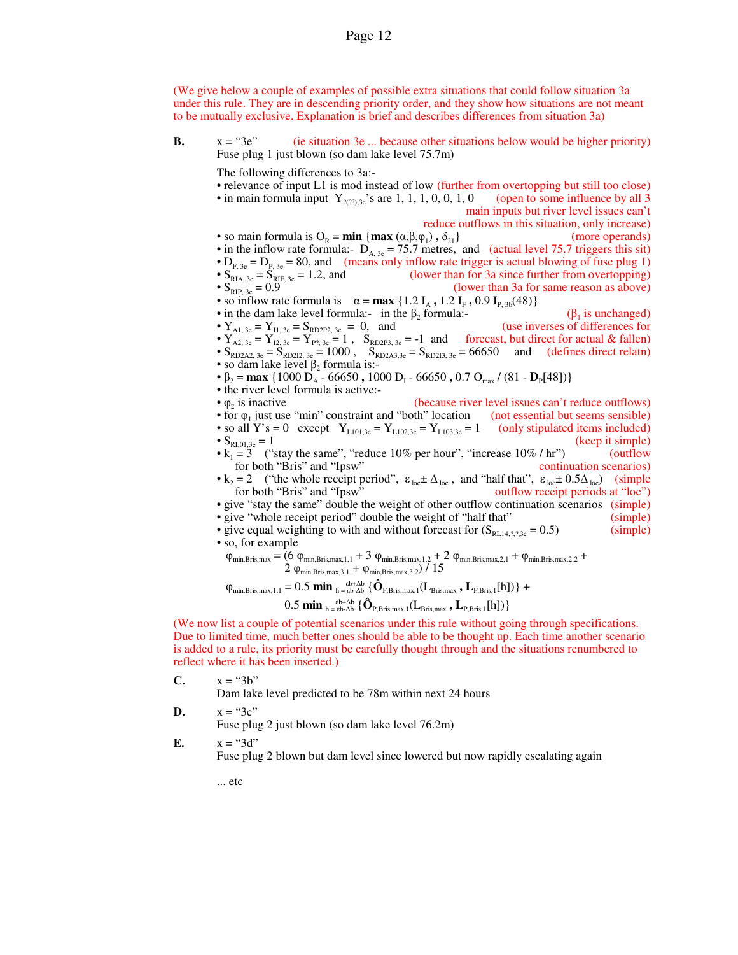(We give below a couple of examples of possible extra situations that could follow situation 3a under this rule. They are in descending priority order, and they show how situations are not meant to be mutually exclusive. Explanation is brief and describes differences from situation 3a)

**B.**  $x = 3e^{x}$  (ie situation 3e ... because other situations below would be higher priority) Fuse plug 1 just blown (so dam lake level 75.7m)

The following differences to 3a:-

• relevance of input L1 is mod instead of low (further from overtopping but still too close) • in main formula input  $Y_{\gamma(27),3e}$ 's are 1, 1, 1, 0, 0, 1, 0 (open to some influence by all 3 main inputs but river level issues can't reduce outflows in this situation, only increase) • so main formula is  $O_R = \min \{ \max (\alpha, \beta, \varphi_1) \}$ (more operands) • in the inflow rate formula:-  $D_{A, 3e} = 75.7$  metres, and (actual level 75.7 triggers this sit) •  $D_{F, 3e} = D_{P, 3e} = 80$ , and (means only inflow rate trigger is actual blowing of fuse plug 1)<br>•  $S_{RIA, 3e} = S_{RIF, 3e} = 1.2$ , and (lower than for 3a since further from overtopping) •  $S_{RIA, 3e} = S_{RIF, 3e} = 1.2$ , and (lower than for 3a since further from overtopping)<br>•  $S_{RIP, 3e} = 0.9$  (lower than 3a for same reason as above) (lower than 3a for same reason as above) • so inflow rate formula is  $\alpha = \max \{1.2 \text{ I}_{\text{A}} , 1.2 \text{ I}_{\text{F}} , 0.9 \text{ I}_{\text{P}} , \text{3b} (48) \}$ • in the dam lake level formula:- in the  $\beta_2$  formula:formula:-  $(\beta_1$  $(β<sub>1</sub>$  is unchanged) •  $Y_{A1, 3e} = Y_{I1, 3e} = S_{RD2P2, 3e} = 0$ , and (use inverses of differences for •  $Y_{A2, 3e} = Y_{12, 3e} = Y_{P7, 3e} = 1$ ,  $S_{RD2P3, 3e} = -1$  and forecast, but direct for actual & fallen) •  $S_{RD2A2, 3e} = S_{RD212, 3e} = 1000$ ,  $S_{RD2A3, 3e} = S_{RD213, 3e} = 66650$  and (defines direct relatn) • so dam lake level  $\beta_2$  formula is:-•  $\beta_2 = \max \{1000 \ D_A - 66650, 1000 \ D_I - 66650, 0.7 \ O_{max} / (81 - D_P[48])\}$ • the river level formula is active:-  $\bullet$   $\varphi$ , is inactive (because river level issues can't reduce outflows) • for  $\varphi_1$  just use "min" constraint and "both" location (not essential but seems sensible) • so all Y's = 0 except  $Y_{L101,3e} = Y_{L102,3e} = Y_{L103,3e} = 1$  (only stipulated items included) •  $S_{\text{RL01,3e}} = 1$  (keep it simple) •  $k_1 = 3$  ("stay the same", "reduce 10% per hour", "increase 10% / hr") (outflow for both "Bris" and "Ipsw" continuation scenarios) •  $k_2 = 2$  ("the whole receipt period",  $\epsilon_{loc} \pm \Delta_{loc}$ , and "half that",  $\epsilon_{loc} \pm 0.5\Delta_{loc}$ ) (simple for both "Bris" and "Ipsw" outflow receipt periods at "loc") • give "stay the same" double the weight of other outflow continuation scenarios (simple) • give "whole receipt period" double the weight of "half that" (simple) • give equal weighting to with and without forecast for  $(S_{RL14,2,2,3e} = 0.5)$  (simple) • so, for example  $\varphi_{\min,Bris,max} = (6 \varphi_{\min,Bris,max,1,1} + 3 \varphi_{\min,Bris,max,1,2} + 2 \varphi_{\min,Bris,max,2,1} + \varphi_{\min,Bris,max,2,2} + \varphi_{\min,Bris,max,1,3} + \varphi_{\min,Bris,max,3,3} + \varphi_{\min,Bris,max,4,4} + \varphi_{\min,Bris,max,4,4} + \varphi_{\min,Bris,max,4,4} + \varphi_{\min,Bris,max,4,5,5} + \varphi_{\min,Bris,max,6,6,7} + \varphi_{\min,Bris,max,7,7} + \varphi_{\min,Bris,max,8,7,8} + \var$ 2  $\varphi_{\text{min,Bris,max,3,1}} + \varphi_{\text{min,Bris,max,3,2}}$  / 15  $\varphi_{\text{min,Bris},\text{max},1,1} = 0.5 \text{ min}_{h = \text{eb-Ab}} \{ \hat{\mathbf{O}}_{\text{F,Bris},\text{max},1} (L_{\text{Bris},\text{max}}, L_{\text{F,Bris},1}[h]) \}$  +  $0.5$  **min**  $_{h = \text{\&}b-\Delta b}^{b+\Delta b}$  { $\hat{\mathbf{O}}_{P,Bris,max,1}(\mathbf{L}_{Bris,max}, \mathbf{L}_{P,Bris,1}[h])$ } (We now list a couple of potential scenarios under this rule without going through specifications.

Due to limited time, much better ones should be able to be thought up. Each time another scenario is added to a rule, its priority must be carefully thought through and the situations renumbered to reflect where it has been inserted.)

**C.**  $x = "3b"$ 

Dam lake level predicted to be 78m within next 24 hours

**D.**  $x = "3c"$ 

Fuse plug 2 just blown (so dam lake level 76.2m)

**E.**  $x = "3d"$ 

Fuse plug 2 blown but dam level since lowered but now rapidly escalating again

... etc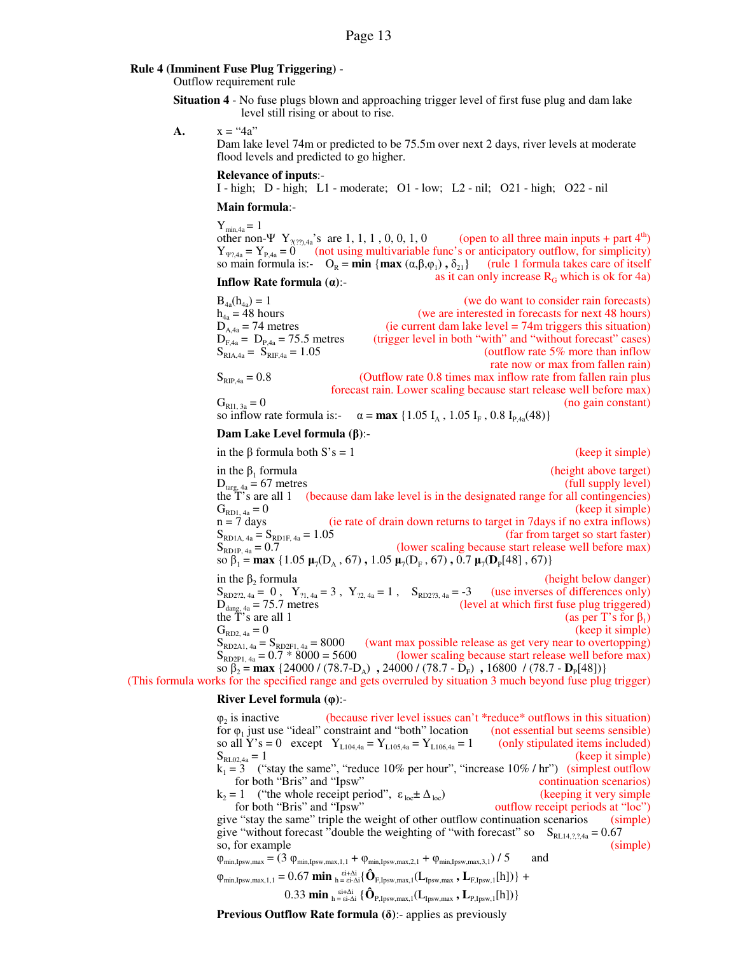### **Rule 4 (Imminent Fuse Plug Triggering)** -

Outflow requirement rule

**Situation 4** - No fuse plugs blown and approaching trigger level of first fuse plug and dam lake level still rising or about to rise.

**A.**  $x = "4a"$ 

Dam lake level 74m or predicted to be 75.5m over next 2 days, river levels at moderate flood levels and predicted to go higher.

### **Relevance of inputs**:-

I - high; D - high; L1 - moderate; O1 - low; L2 - nil; O21 - high; O22 - nil

### **Main formula**:-

 $Y_{min.4a} = 1$ other non-Ψ Y<sub>?(??),4a</sub>'s are 1, 1, 1, 0, 0, 1, 0 (open to all three main inputs + part 4<sup>th</sup>)  $Y_{\Psi?4a} = Y_{P,4a} = 0$  (not using multivariable func's or anticipatory outflow, for simplicity) so main formula is:-  $O_R = \min \{ \max (\alpha, \beta, \varphi_1), \delta_{21} \}$  (rule 1 formula takes care of itself **Inflow Rate formula (** $\alpha$ **): Inflow Rate formula (** $\alpha$ **): Inflow Rate formula (** $\alpha$ **): Inflow Rate formula (** $\alpha$ **): Inflow**  $\alpha$  **Inflow**  $\alpha$  **Inflow**  $\alpha$  **Inflow**  $\alpha$  **Inflow**  $\alpha$  **Inflow**  $\alpha$  **Inflow**  $\alpha$  **In** 

| $B_{4a}(h_{4a}) = 1$                | (we do want to consider rain forecasts)                             |
|-------------------------------------|---------------------------------------------------------------------|
| $h_{4a} = 48$ hours                 | (we are interested in forecasts for next 48 hours)                  |
| $D_{A.4a} = 74$ metres              | (ie current dam lake level $= 74$ m triggers this situation)        |
| $D_{F,4a} = D_{P,4a} = 75.5$ metres | (trigger level in both "with" and "without forecast" cases)         |
| $S_{RIA.4a} = S_{RIF.4a} = 1.05$    | (outflow rate $5\%$ more than inflow                                |
|                                     | rate now or max from fallen rain)                                   |
| $S_{RIP,4a} = 0.8$                  | (Outflow rate 0.8 times max inflow rate from fallen rain plus       |
|                                     | forecast rain. Lower scaling because start release well before max) |
| $G_{RII, 3a} = 0$                   | (no gain constant)                                                  |
|                                     |                                                                     |

so inflow rate formula is:-  $\alpha = \max \{1.05 I_A, 1.05 I_F, 0.8 I_{P,4a}(48)\}\$ 

### **Dam Lake Level formula (β)**:-

in the β formula both  $S's = 1$  (keep it simple) in the  $\beta_1$  formula (height above target)<br>(full supply level)  $D_{\text{targ, }4a} = 67$  metres the T's are all 1 (because dam lake level is in the designated range for all contingencies)  $G_{\text{RD1, 4a}} = 0$  (keep it simple)<br>  $n = 7$  days (ie rate of drain down returns to target in 7 days if no extra inflows)  $\alpha$  (ie rate of drain down returns to target in 7 days if no extra inflows)  $S_{\text{RD1A, 4a}} = S_{\text{RD1F, 4a}} = 1.05$  (far from target so start faster)<br>  $S_{\text{RD1P, 4a}} = 0.7$  (lower scaling because start release well before max) (lower scaling because start release well before max)  $\text{so } \beta_1 = \max \{1.05 \ \mu_7(\text{D}_\text{A}, 67), 1.05 \ \mu_7(\text{D}_\text{F}, 67), 0.7 \ \mu_7(\text{D}_\text{P}[48], 67)\}\$ in the  $β_2$  formula (height below danger)  $S_{RD22, 4a} = 0$ ,  $Y_{21, 4a} = 3$ ,  $Y_{22, 4a} = 1$ ,  $S_{RD223, 4a} = -3$  (use inverses of differences only) (level at which first fuse plug triggered)  $D<sub>dang, 4a</sub> = 75.7 metres  
the T's are all 1  
 $G<sub>RD2, 4a</sub> = 0$$ (as per T's for  $\beta_1$ ) (keep it simple)  $S_{RD2A1, 4a} = S_{RD2F1, 4a} = 8000$  (want max possible release as get very near to overtopping)<br>  $S_{RD2P1, 4a} = 0.7 * 8000 = 5600$  (lower scaling because start release well before max) (lower scaling because start release well before max) so β<sub>2</sub> = **max** {24000 / (78.7-D<sub>A</sub>), 24000 / (78.7 - D<sub>F</sub>), 16800 / (78.7 - D<sub>P</sub>[48])}

(This formula works for the specified range and gets overruled by situation 3 much beyond fuse plug trigger)

### **River Level formula (φ)**:-

 $\varphi$ <sub>2</sub> is inactive (because river level issues can't  $*$ reduce $*$  outflows in this situation) for  $\varphi_1$  just use "ideal" constraint and "both" location (not essential but seems sensible) so all  $Y$ 's = 0 except  $Y_{L104,4a} = Y_{L105,4a} = Y_{L106,4a} = 1$  (only stipulated items included)<br>S<sub>RL024a</sub> = 1 (keep it simple)  $S_{RL02,4a} = 1$  (keep it simple)  $k_1 = 3$  ("stay the same", "reduce 10% per hour", "increase 10% / hr") (simplest outflow for both "Bris" and "Ipsw" continuation scenarios)<br>= 1 ("the whole receipt period",  $\varepsilon_{\text{loc}} \pm \Delta_{\text{loc}}$ ) (keeping it very simple  $k_2 = 1$  ("the whole receipt period",  $\varepsilon_{\text{loc}} \pm \Delta_{\text{loc}}$ ) (keeping it very simple for both "Bris" and "Ipsw" outflow receipt periods at "loc") give "stay the same" triple the weight of other outflow continuation scenarios (simple) give "without forecast "double the weighting of "with forecast" so  $S_{RL14,2,2,4a} = 0.67$ so, for example (simple) (simple)  $\varphi_{\min, Ipsw, max} = (3 \varphi_{\min, Ipsw, max, 1,1} + \varphi_{\min, Ipsw, max, 2,1} + \varphi_{\min, Ipsw, max, 3,1}) / 5$  and  $\varphi_{\min,IBsw, max, 1, 1} = 0.67 \min_{h = \text{si-}\Delta i} {\{\hat{\mathbf{O}}_{F,IBsw, max, 1}(L_{Ipsw, max}, \mathbf{L}_{F,IBsw, 1}[h])\}} +$  $0.33 \text{ min}_{h = \text{si-}\Delta i} \{ \hat{\mathbf{O}}_{\text{P,Ipsw,max},1} (L_{\text{Ipsw,max}}, L_{\text{P,Ipsw},1}[h]) \}$ 

**Previous Outflow Rate formula (δ)**:- applies as previously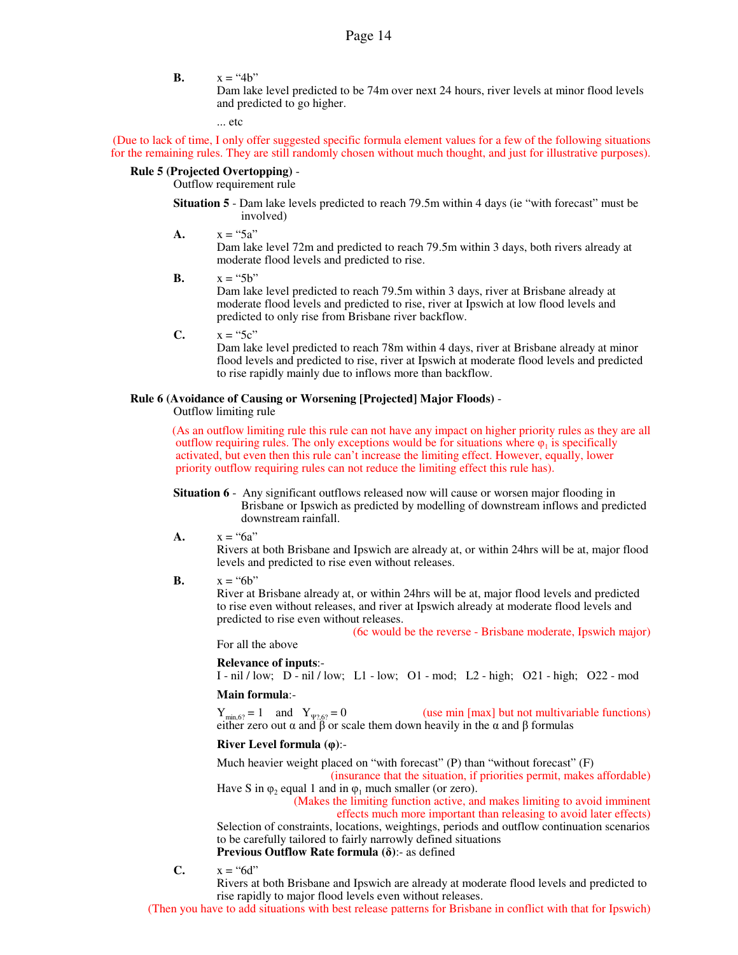**B.**  $x = "4b"$ 

Dam lake level predicted to be 74m over next 24 hours, river levels at minor flood levels and predicted to go higher.

... etc

(Due to lack of time, I only offer suggested specific formula element values for a few of the following situations for the remaining rules. They are still randomly chosen without much thought, and just for illustrative purposes).

### **Rule 5 (Projected Overtopping)** -

Outflow requirement rule

**Situation 5** - Dam lake levels predicted to reach 79.5m within 4 days (ie "with forecast" must be involved)

**A.**  $x = "5a"$ 

Dam lake level 72m and predicted to reach 79.5m within 3 days, both rivers already at moderate flood levels and predicted to rise.

**B.**  $x = "5b"$ 

Dam lake level predicted to reach 79.5m within 3 days, river at Brisbane already at moderate flood levels and predicted to rise, river at Ipswich at low flood levels and predicted to only rise from Brisbane river backflow.

**C.**  $x = "5c"$ 

Dam lake level predicted to reach 78m within 4 days, river at Brisbane already at minor flood levels and predicted to rise, river at Ipswich at moderate flood levels and predicted to rise rapidly mainly due to inflows more than backflow.

### **Rule 6 (Avoidance of Causing or Worsening [Projected] Major Floods)** -

Outflow limiting rule

(As an outflow limiting rule this rule can not have any impact on higher priority rules as they are all outflow requiring rules. The only exceptions would be for situations where  $\varphi_1$  is specifically activated, but even then this rule can't increase the limiting effect. However, equally, lower priority outflow requiring rules can not reduce the limiting effect this rule has).

- **Situation 6** Any significant outflows released now will cause or worsen major flooding in Brisbane or Ipswich as predicted by modelling of downstream inflows and predicted downstream rainfall.
- **A.**  $x = "6a"$

Rivers at both Brisbane and Ipswich are already at, or within 24hrs will be at, major flood levels and predicted to rise even without releases.

**B.**  $x = "6b"$ 

River at Brisbane already at, or within 24hrs will be at, major flood levels and predicted to rise even without releases, and river at Ipswich already at moderate flood levels and predicted to rise even without releases.

(6c would be the reverse - Brisbane moderate, Ipswich major)

For all the above

**Relevance of inputs**:-

I - nil / low; D - nil / low; L1 - low; O1 - mod; L2 - high; O21 - high; O22 - mod **Main formula**:-

 $Y_{\text{min,6?}} = 1$  and  $Y_{\Psi^2,\theta^2} = 0$  (use min [max] but not multivariable functions) either zero out  $\alpha$  and  $\beta$  or scale them down heavily in the  $\alpha$  and  $\beta$  formulas

### **River Level formula (φ)**:-

Much heavier weight placed on "with forecast" (P) than "without forecast" (F)

(insurance that the situation, if priorities permit, makes affordable) Have S in  $\varphi_2$  equal 1 and in  $\varphi_1$  much smaller (or zero).

(Makes the limiting function active, and makes limiting to avoid imminent

effects much more important than releasing to avoid later effects)

Selection of constraints, locations, weightings, periods and outflow continuation scenarios to be carefully tailored to fairly narrowly defined situations **Previous Outflow Rate formula (δ)**:- as defined

**C.**  $x = "6d"$ 

Rivers at both Brisbane and Ipswich are already at moderate flood levels and predicted to rise rapidly to major flood levels even without releases.

(Then you have to add situations with best release patterns for Brisbane in conflict with that for Ipswich)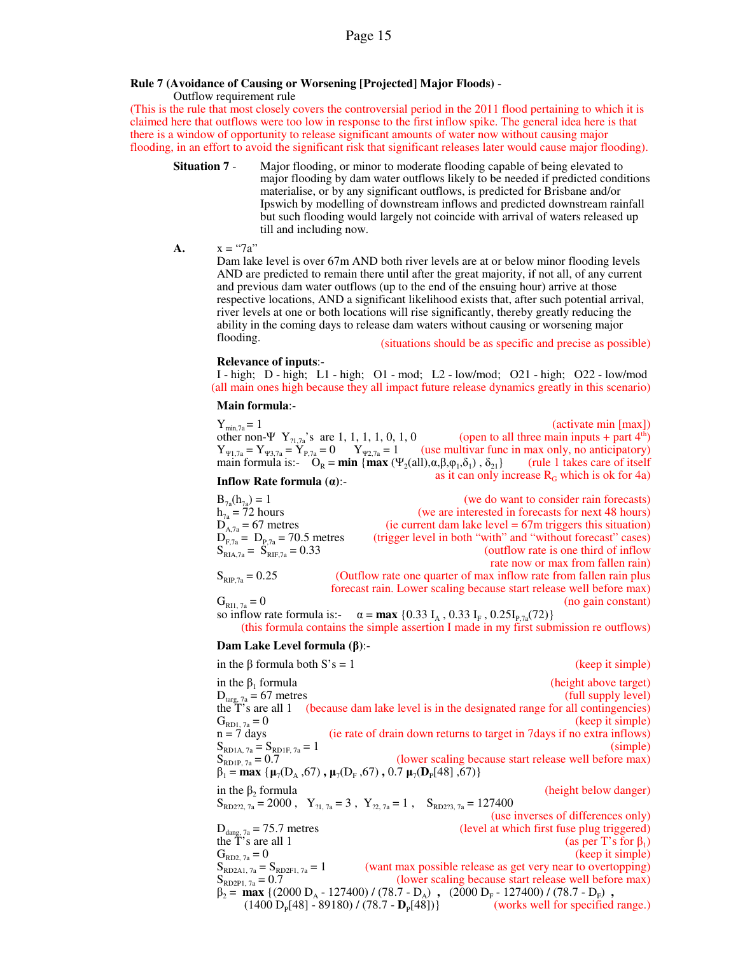### **Rule 7 (Avoidance of Causing or Worsening [Projected] Major Floods)** -

Outflow requirement rule

(This is the rule that most closely covers the controversial period in the 2011 flood pertaining to which it is claimed here that outflows were too low in response to the first inflow spike. The general idea here is that there is a window of opportunity to release significant amounts of water now without causing major flooding, in an effort to avoid the significant risk that significant releases later would cause major flooding).

- **Situation 7** Major flooding, or minor to moderate flooding capable of being elevated to major flooding by dam water outflows likely to be needed if predicted conditions materialise, or by any significant outflows, is predicted for Brisbane and/or Ipswich by modelling of downstream inflows and predicted downstream rainfall but such flooding would largely not coincide with arrival of waters released up till and including now.
- **A.**  $x = "7a"$

Dam lake level is over 67m AND both river levels are at or below minor flooding levels AND are predicted to remain there until after the great majority, if not all, of any current and previous dam water outflows (up to the end of the ensuing hour) arrive at those respective locations, AND a significant likelihood exists that, after such potential arrival, river levels at one or both locations will rise significantly, thereby greatly reducing the ability in the coming days to release dam waters without causing or worsening major flooding. (situations should be as specific and precise as possible)

### **Relevance of inputs**:-

I - high; D - high; L1 - high; O1 - mod; L2 - low/mod; O21 - high; O22 - low/mod (all main ones high because they all impact future release dynamics greatly in this scenario)

### **Main formula**:-

 $Y_{\min,7a} = 1$  (activate min [max]) other non- $\Psi$  Y<sub>21,7a</sub>'s are 1, 1, 1, 1, 0, 1, 0 (open to all three main inputs + part 4<sup>th</sup>)  $Y_{\Psi_{1,7a}} = Y_{\Psi_{3,7a}} = Y_{P,7a} = 0$   $Y_{\Psi_{2,7a}} = 1$  (use multivar func in max only, no anticipatory) main formula is:-  $O_R = \min \{ \max (\Psi_2(\text{all}), \alpha, \beta, \varphi_1, \delta_1), \delta_{21} \}$  (rule 1 takes care of itself **Inflow Rate formula (** $\alpha$ **): Inflow Rate formula (** $\alpha$ **): Inflow Rate formula (** $\alpha$ **)**:

| $B_{7a}(h_{7a}) = 1$                | (we do want to consider rain forecasts)                             |
|-------------------------------------|---------------------------------------------------------------------|
| $h_{7a} = 72$ hours                 | (we are interested in forecasts for next 48 hours)                  |
| $D_{A7a} = 67$ metres               | (ie current dam lake level $= 67$ m triggers this situation)        |
| $D_{F,7a} = D_{P,7a} = 70.5$ metres | (trigger level in both "with" and "without forecast" cases)         |
| $S_{RIA,7a} = S_{RIE,7a} = 0.33$    | (outflow rate is one third of inflow                                |
|                                     | rate now or max from fallen rain)                                   |
| $S_{RIP,7a} = 0.25$                 | (Outflow rate one quarter of max inflow rate from fallen rain plus) |
|                                     | forecast rain. Lower scaling because start release well before max) |
| $G_{\text{RII}, 7a} = 0$            | (no gain constant)                                                  |

so inflow rate formula is:-  $\alpha = \max\{0.33 \text{ I}_{\text{A}} , 0.33 \text{ I}_{\text{F}} , 0.25 \text{I}_{\text{P},7a}(72)\}\$ (this formula contains the simple assertion I made in my first submission re outflows)

### **Dam Lake Level formula (β)**:-

| in the $\beta$ formula both S's = 1                                                                                                                   | (keep it simple)                                                                            |  |
|-------------------------------------------------------------------------------------------------------------------------------------------------------|---------------------------------------------------------------------------------------------|--|
| in the $\beta_1$ formula                                                                                                                              | (height above target)                                                                       |  |
| $D_{\text{targ}, 7a} = 67$ metres                                                                                                                     | (full supply level)                                                                         |  |
|                                                                                                                                                       | the T's are all 1 (because dam lake level is in the designated range for all contingencies) |  |
| $G_{RD1, 7a} = 0$                                                                                                                                     | (keep it simple)                                                                            |  |
| $n = 7$ days                                                                                                                                          | (ie rate of drain down returns to target in 7 days if no extra inflows)                     |  |
| $S_{RDIA, 7a} = S_{RDIF, 7a} = 1$                                                                                                                     | (simple)                                                                                    |  |
| $S_{RD1P, 7a} = 0.7$                                                                                                                                  | (lower scaling because start release well before max)                                       |  |
| $\beta_1 = \max \{ \mu_7(D_A, 67), \mu_7(D_F, 67), 0.7 \mu_7(D_P[48], 67) \}$                                                                         |                                                                                             |  |
| in the $\beta$ , formula                                                                                                                              | (height below danger)                                                                       |  |
| $S_{RD222.7a} = 2000$ , $Y_{21.7a} = 3$ , $Y_{22.7a} = 1$ , $S_{RD223.7a} = 127400$                                                                   |                                                                                             |  |
|                                                                                                                                                       | (use inverses of differences only)                                                          |  |
| $D_{\text{dang. }7a} = 75.7$ metres                                                                                                                   | (level at which first fuse plug triggered)                                                  |  |
| the T's are all 1                                                                                                                                     | (as per T's for $\beta_1$ )                                                                 |  |
| $G_{RD2, 7a} = 0$                                                                                                                                     | (keep it simple)                                                                            |  |
| $S_{RD2A1, 7a} = S_{RD2F1, 7a} = 1$                                                                                                                   | (want max possible release as get very near to overtopping)                                 |  |
| $S_{RD2P1, 7a} = 0.7$                                                                                                                                 | (lower scaling because start release well before max)                                       |  |
| $\beta_2 = \max \left\{ (2000 \text{ D}_{A} - 127400) / (78.7 - \text{ D}_{A}) \right\}$ , $(2000 \text{ D}_{F} - 127400) / (78.7 - \text{ D}_{F})$ , |                                                                                             |  |
|                                                                                                                                                       | $(1400 DP[48] - 89180) / (78.7 - DP[48])$ (works well for specified range.)                 |  |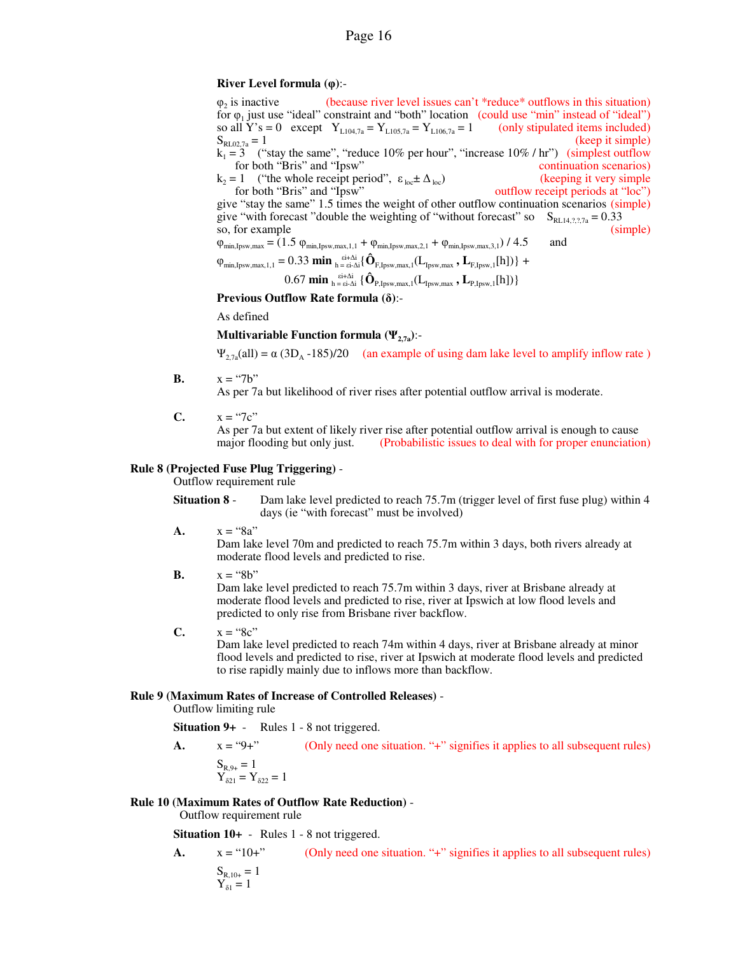### **River Level formula (φ)**:-

 $\omega_2$  is inactive (because river level issues can't  $*$ reduce $*$  outflows in this situation) for  $\varphi_1$  just use "ideal" constraint and "both" location (could use "min" instead of "ideal") so all Y's = 0 except  $Y_{L104,7a} = Y_{L105,7a} = Y_{L106,7a} = 1$  (only stipulated items included)<br>S<sub>ELOZ</sub><sub>2</sub> = 1 (keep it simple)  $S_{RL02,7a} = 1$  (keep it simple)  $k_1 = 3$  ("stay the same", "reduce 10% per hour", "increase 10% / hr") (simplest outflow for both "Bris" and "Ipsw" continuation scenarios)  $k_2 = 1$  ("the whole receipt period",  $\varepsilon_{\text{loc}} \pm \Delta_{\text{loc}}$ ) (keeping it very simple for both "Bris" and "Ipsw" outflow receipt periods at "loc") give "stay the same" 1.5 times the weight of other outflow continuation scenarios (simple) give "with forecast "double the weighting of "without forecast" so  $S_{RL14,7,7,7a} = 0.33$ <br>so, for example (simple) so, for example  $\varphi_{\min,1, \text{psw}, \max} = (1.5 \varphi_{\min,1, \text{psw}, \max,1,1} + \varphi_{\min,1, \text{psw}, \max,2,1} + \varphi_{\min,1, \text{psw}, \max,3,1}) / 4.5$  and  $\varphi_{\min, Ipsw, max, 1, 1} = 0.33 \min_{h = \varepsilon i - \Delta i} \{ \hat{\mathbf{O}}_{F, Ipsw, max, 1} (L_{Ipsw, max}, \mathbf{L}_{F, Ipsw, 1}[h]) \} +$  $0.67$  min  $_{h = \text{si-}\Delta i}$  { $\hat{\mathbf{O}}_{\text{P,Ipsw,max,1}}(\mathbf{L}_{\text{Ipsw,max}}, \mathbf{L}_{\text{P,Ipsw,1}}[h])$ }

**Previous Outflow Rate formula (δ)**:-

As defined

**Multivariable Function formula**  $(\Psi_{2,7a})$ **:-**

 $\Psi_{2,7a}$ (all) =  $\alpha$  (3D<sub>A</sub> -185)/20 (an example of using dam lake level to amplify inflow rate)

**B.**  $x = "7b"$ 

As per 7a but likelihood of river rises after potential outflow arrival is moderate.

**C.**  $x = "7c"$ 

As per 7a but extent of likely river rise after potential outflow arrival is enough to cause major flooding but only just. (Probabilistic issues to deal with for proper enunciation (Probabilistic issues to deal with for proper enunciation)

### **Rule 8 (Projected Fuse Plug Triggering)** -

Outflow requirement rule

- **Situation 8** Dam lake level predicted to reach 75.7m (trigger level of first fuse plug) within 4 days (ie "with forecast" must be involved)
- **A.**  $x = "8a"$

Dam lake level 70m and predicted to reach 75.7m within 3 days, both rivers already at moderate flood levels and predicted to rise.

 $\mathbf{B}$ .  $x =$  "8b"

Dam lake level predicted to reach 75.7m within 3 days, river at Brisbane already at moderate flood levels and predicted to rise, river at Ipswich at low flood levels and predicted to only rise from Brisbane river backflow.

**C.**  $x = "8c"$ 

Dam lake level predicted to reach 74m within 4 days, river at Brisbane already at minor flood levels and predicted to rise, river at Ipswich at moderate flood levels and predicted to rise rapidly mainly due to inflows more than backflow.

### **Rule 9 (Maximum Rates of Increase of Controlled Releases)** -

Outflow limiting rule

**Situation 9+** - Rules 1 - 8 not triggered.

**A.**  $x = "9+"$  (Only need one situation. "+" signifies it applies to all subsequent rules)  $S_{R,9+} = 1$  $Y_{\delta 21} = Y_{\delta 22} = 1$ 

## **Rule 10 (Maximum Rates of Outflow Rate Reduction)** -

Outflow requirement rule

**Situation 10+** - Rules 1 - 8 not triggered.

**A.**  $x = "10+"$  (Only need one situation. "+" signifies it applies to all subsequent rules)  $S_{R,10+} = 1$  $Y_{\delta 1} = 1$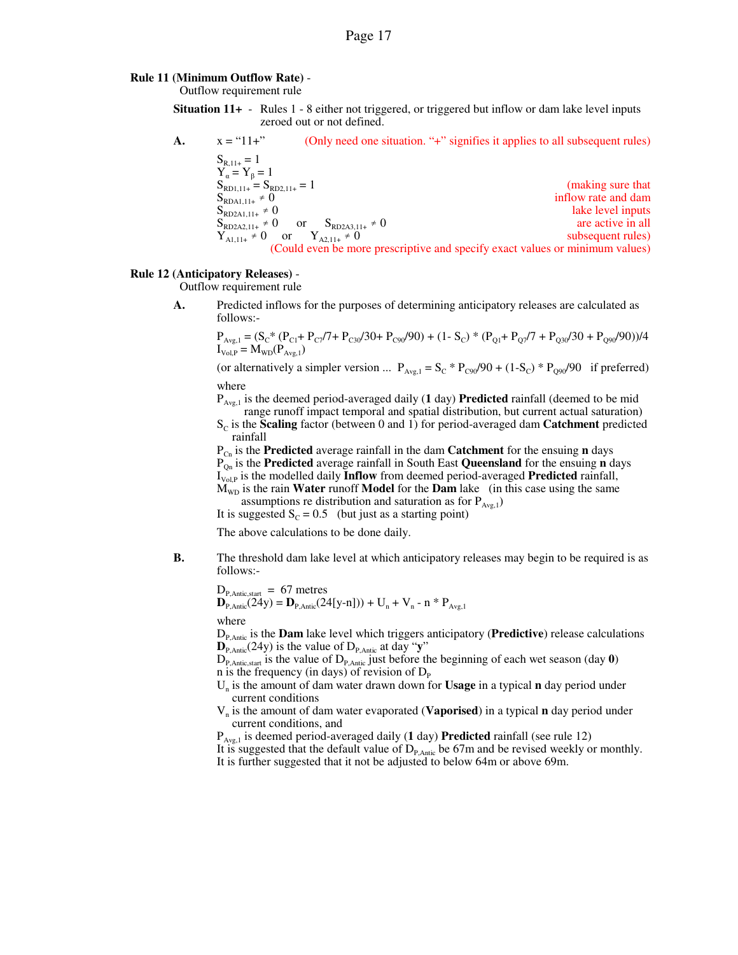### **Rule 11 (Minimum Outflow Rate)** -

Outflow requirement rule

**Situation 11+** - Rules 1 - 8 either not triggered, or triggered but inflow or dam lake level inputs zeroed out or not defined.

**A.** 
$$
x = \text{``11+''}
$$
 (Only need one situation. "+" signifies it applies to all subsequent rules)  
\n $S_{R,11+} = 1$   
\n $Y_{\alpha} = Y_{\beta} = 1$   
\n $S_{RD1,11+} = S_{RD2,11+} = 1$   
\n $S_{RD2A1,11+} \neq 0$   
\n $S_{RD2A2,11+} \neq 0$   
\n $S_{RD2A2,11+} \neq 0$   
\n $S_{RD2A2,11+} \neq 0$   
\n $Y_{A1,11+} \neq 0$   
\n $Y_{A1,11+} \neq 0$   
\n $Y_{A2,11+} \neq 0$   
\n $Y_{A2,11+} \neq 0$   
\n $Y_{A2,11+} \neq 0$   
\n $Y_{A2,11+} \neq 0$   
\n $Y_{A2,11+} \neq 0$   
\n $Y_{A2,11+} \neq 0$   
\n $Y_{A2,11+} \neq 0$   
\n $Y_{A2,11+} \neq 0$   
\n $Y_{A2,11+} \neq 0$   
\n $Y_{A2,11+} \neq 0$   
\n $Y_{A2,11+} \neq 0$   
\n $Y_{A2,11+} \neq 0$   
\n $Y_{A2,11+} \neq 0$   
\n $Y_{A1,11+} \neq 0$   
\n $Y_{A2,11+} \neq 0$   
\n $Y_{A2,11+} \neq 0$   
\n $Y_{A2,11+} \neq 0$   
\n $Y_{A2,11+} \neq 0$   
\n $Y_{A1,11+} \neq 0$   
\n $Y_{A2,11+} \neq 0$   
\n $Y_{A2,11+} \neq 0$   
\n $Y_{A2,11+} \neq 0$   
\

### **Rule 12 (Anticipatory Releases)** -

Outflow requirement rule

**A.** Predicted inflows for the purposes of determining anticipatory releases are calculated as follows:-

$$
\begin{array}{l} P_{\text{Avg},1} = (S_C^* (P_{C1} + P_{C7}/7 + P_{C30}/30 + P_{C90}/90) + (1 - S_C)^* (P_{Q1} + P_{Q7}/7 + P_{Q30}/30 + P_{Q90}/90))/4\\ I_{\text{Vol},P} = M_{\text{WD}} (P_{\text{Avg},1}) \end{array}
$$

(or alternatively a simpler version ...  $P_{Avg,1} = S_C * P_{C90}/90 + (1-S_C) * P_{Q90}/90$  if preferred) where

 $P_{Avg,1}$  is the deemed period-averaged daily (1 day) **Predicted** rainfall (deemed to be mid range runoff impact temporal and spatial distribution, but current actual saturation)

 $S_c$  is the **Scaling** factor (between 0 and 1) for period-averaged dam **Catchment** predicted rainfall

 $P_{C_n}$  is the **Predicted** average rainfall in the dam **Catchment** for the ensuing **n** days PQn is the **Predicted** average rainfall in South East **Queensland** for the ensuing **n** days I<sub>Vol,P</sub> is the modelled daily **Inflow** from deemed period-averaged **Predicted** rainfall,  $M_{WD}$  is the rain **Water** runoff **Model** for the **Dam** lake (in this case using the same

assumptions re distribution and saturation as for  $P_{Avg,1}$ ) It is suggested  $S_c = 0.5$  (but just as a starting point)

The above calculations to be done daily.

**B.** The threshold dam lake level at which anticipatory releases may begin to be required is as follows:-

$$
\begin{array}{l} D_{P,\text{Antic,start}} \,=\, 67 \text{ metres} \\ \textcolor{red}{\mathbf{D}_{P,\text{Antic}}(24 \text{y})} = \textcolor{red}{\mathbf{D}_{P,\text{Antic}}(24 \text{[y-n]}))} + U_n + V_n \text{ - n * } P_{\text{Avg,1}} \end{array}
$$

where

DP,Antic is the **Dam** lake level which triggers anticipatory (**Predictive**) release calculations  $\mathbf{D}_{P,\text{Antic}}(24y)$  is the value of  $D_{P,\text{Antic}}$  at day "y"

 $D_{P,Antic, start}$  is the value of  $D_{P, Antic}$  just before the beginning of each wet season (day  $\theta$ ) n is the frequency (in days) of revision of  $D_{\rm P}$ 

Un is the amount of dam water drawn down for **Usage** in a typical **n** day period under current conditions

Vn is the amount of dam water evaporated (**Vaporised**) in a typical **n** day period under current conditions, and

PAvg,1 is deemed period-averaged daily (**1** day) **Predicted** rainfall (see rule 12) It is suggested that the default value of  $D_{P, \text{Antic}}$  be 67m and be revised weekly or monthly. It is further suggested that it not be adjusted to below 64m or above 69m.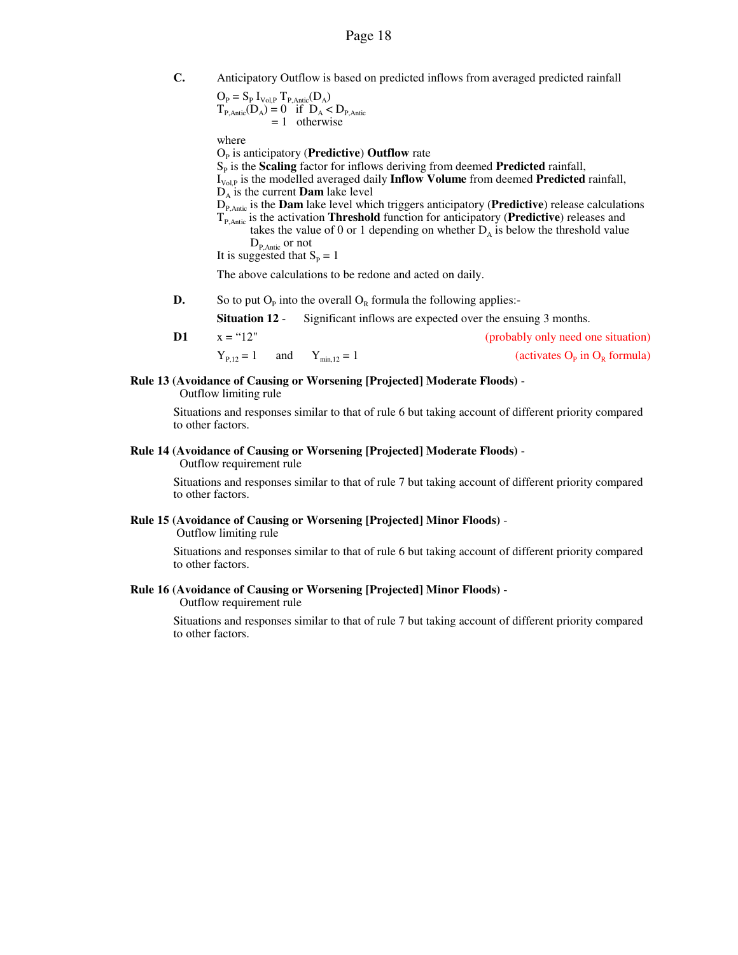**C.** Anticipatory Outflow is based on predicted inflows from averaged predicted rainfall

$$
\begin{array}{l} O_P = S_P \; I_{\text{Vol},P} \; T_{P,\text{Antic}}(D_A) \\ T_{P,\text{Antic}}(D_A) = 0 \quad \text{if} \; \; D_A < D_{P,\text{Antic}} \\ = 1 \quad \text{otherwise} \end{array}
$$

where

O<sub>P</sub> is anticipatory (**Predictive**) **Outflow** rate S<sub>P</sub> is the **Scaling** factor for inflows deriving from deemed **Predicted** rainfall, I<sub>Vol.P</sub> is the modelled averaged daily **Inflow Volume** from deemed **Predicted** rainfall,  $D_A$  is the current **Dam** lake level DP,Antic is the **Dam** lake level which triggers anticipatory (**Predictive**) release calculations TP,Antic is the activation **Threshold** function for anticipatory (**Predictive**) releases and takes the value of 0 or 1 depending on whether  $D_A$  is below the threshold value  $D_{P, \text{Antic}}$  or not It is suggested that  $S_P = 1$ 

The above calculations to be redone and acted on daily.

**D.** So to put  $O_p$  into the overall  $O_R$  formula the following applies:-

**Situation 12** - Significant inflows are expected over the ensuing 3 months.

**D1**  $x =$  "12" (probably only need one situation)  $Y_{P,12} = 1$  and  $Y_{\text{min},12} = 1$ in  $O_R$  formula)

### **Rule 13 (Avoidance of Causing or Worsening [Projected] Moderate Floods)** -

Outflow limiting rule

Situations and responses similar to that of rule 6 but taking account of different priority compared to other factors.

### **Rule 14 (Avoidance of Causing or Worsening [Projected] Moderate Floods)** -

Outflow requirement rule

Situations and responses similar to that of rule 7 but taking account of different priority compared to other factors.

# **Rule 15 (Avoidance of Causing or Worsening [Projected] Minor Floods)** -

Outflow limiting rule

Situations and responses similar to that of rule 6 but taking account of different priority compared to other factors.

### **Rule 16 (Avoidance of Causing or Worsening [Projected] Minor Floods)** -

Outflow requirement rule

Situations and responses similar to that of rule 7 but taking account of different priority compared to other factors.